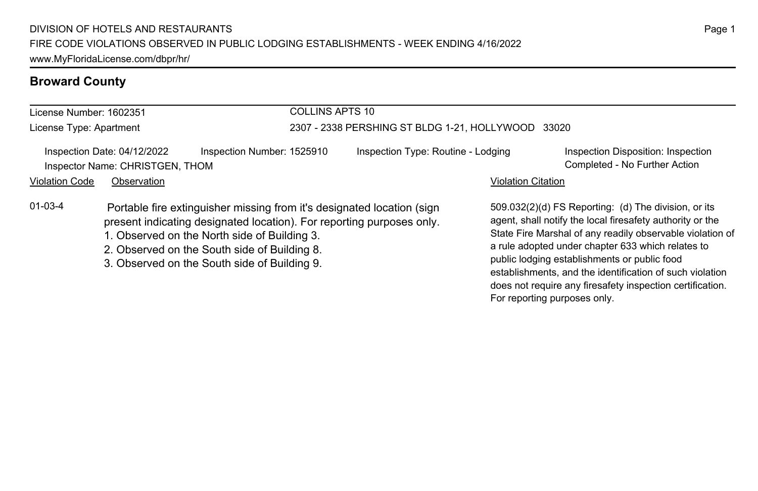## **Broward County**

| COLLINS APTS 10<br>License Number: 1602351 |                                                                |                                                                                                                                                                                                                                                                                                 |                                                    |                           |                                                                                                                                                                                                                                                                                                                                                 |  |
|--------------------------------------------|----------------------------------------------------------------|-------------------------------------------------------------------------------------------------------------------------------------------------------------------------------------------------------------------------------------------------------------------------------------------------|----------------------------------------------------|---------------------------|-------------------------------------------------------------------------------------------------------------------------------------------------------------------------------------------------------------------------------------------------------------------------------------------------------------------------------------------------|--|
| License Type: Apartment                    |                                                                |                                                                                                                                                                                                                                                                                                 | 2307 - 2338 PERSHING ST BLDG 1-21, HOLLYWOOD 33020 |                           |                                                                                                                                                                                                                                                                                                                                                 |  |
|                                            | Inspection Date: 04/12/2022<br>Inspector Name: CHRISTGEN, THOM | Inspection Number: 1525910                                                                                                                                                                                                                                                                      | Inspection Type: Routine - Lodging                 |                           | Inspection Disposition: Inspection<br>Completed - No Further Action                                                                                                                                                                                                                                                                             |  |
| <b>Violation Code</b>                      | Observation                                                    |                                                                                                                                                                                                                                                                                                 |                                                    | <b>Violation Citation</b> |                                                                                                                                                                                                                                                                                                                                                 |  |
| $01 - 03 - 4$                              |                                                                | Portable fire extinguisher missing from it's designated location (sign<br>present indicating designated location). For reporting purposes only.<br>1. Observed on the North side of Building 3.<br>2. Observed on the South side of Building 8.<br>3. Observed on the South side of Building 9. |                                                    |                           | 509.032(2)(d) FS Reporting: (d) The division, or its<br>agent, shall notify the local firesafety authority or the<br>State Fire Marshal of any readily observable violation of<br>a rule adopted under chapter 633 which relates to<br>public lodging establishments or public food<br>establishments, and the identification of such violation |  |

does not require any firesafety inspection certification.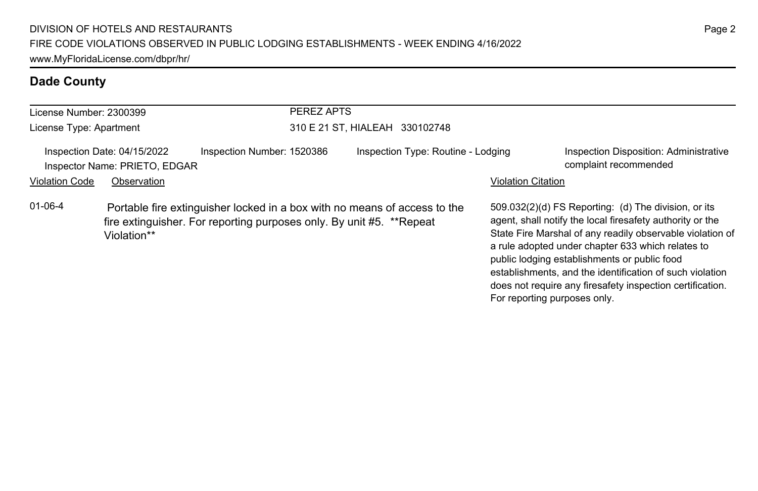| License Number: 2300399 |                                                              | PEREZ APTS                                                                                                                                        |                                    |                              |                                                                                                                                                                                                                                                                                                                                                                                                              |
|-------------------------|--------------------------------------------------------------|---------------------------------------------------------------------------------------------------------------------------------------------------|------------------------------------|------------------------------|--------------------------------------------------------------------------------------------------------------------------------------------------------------------------------------------------------------------------------------------------------------------------------------------------------------------------------------------------------------------------------------------------------------|
| License Type: Apartment |                                                              |                                                                                                                                                   | 310 E 21 ST, HIALEAH 330102748     |                              |                                                                                                                                                                                                                                                                                                                                                                                                              |
|                         | Inspection Date: 04/15/2022<br>Inspector Name: PRIETO, EDGAR | Inspection Number: 1520386                                                                                                                        | Inspection Type: Routine - Lodging |                              | <b>Inspection Disposition: Administrative</b><br>complaint recommended                                                                                                                                                                                                                                                                                                                                       |
| <b>Violation Code</b>   | Observation                                                  |                                                                                                                                                   |                                    | <b>Violation Citation</b>    |                                                                                                                                                                                                                                                                                                                                                                                                              |
| $01 - 06 - 4$           | Violation**                                                  | Portable fire extinguisher locked in a box with no means of access to the<br>fire extinguisher. For reporting purposes only. By unit #5. **Repeat |                                    | For reporting purposes only. | 509.032(2)(d) FS Reporting: (d) The division, or its<br>agent, shall notify the local firesafety authority or the<br>State Fire Marshal of any readily observable violation of<br>a rule adopted under chapter 633 which relates to<br>public lodging establishments or public food<br>establishments, and the identification of such violation<br>does not require any firesafety inspection certification. |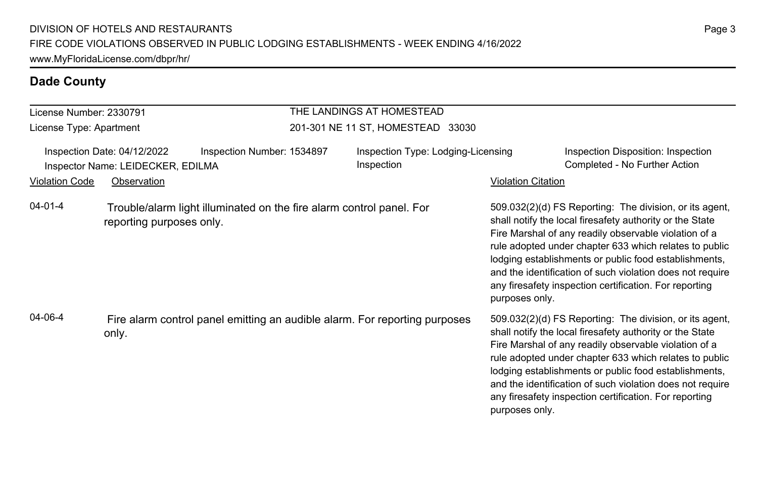#### License Number: 2330791 License Type: Apartment THE LANDINGS AT HOMESTEAD 201-301 NE 11 ST, HOMESTEAD 33030 Inspection Date: 04/12/2022 Inspection Number: 1534897 Inspection Type: Lodging-Licensing Inspection Inspection Disposition: Inspection Inspector Name: LEIDECKER, EDILMA **Completed - No Further Action** Completed - No Further Action Violation Code Observation **Violation Code** Observation **Violation** Violation Citation Citation Citation Citation 509.032(2)(d) FS Reporting: The division, or its agent, shall notify the local firesafety authority or the State Fire Marshal of any readily observable violation of a rule adopted under chapter 633 which relates to public lodging establishments or public food establishments, and the identification of such violation does not require any firesafety inspection certification. For reporting purposes only. 04-01-4 Trouble/alarm light illuminated on the fire alarm control panel. For reporting purposes only. 509.032(2)(d) FS Reporting: The division, or its agent, shall notify the local firesafety authority or the State Fire Marshal of any readily observable violation of a rule adopted under chapter 633 which relates to public lodging establishments or public food establishments, and the identification of such violation does not require any firesafety inspection certification. For reporting purposes only. 04-06-4 Fire alarm control panel emitting an audible alarm. For reporting purposes only.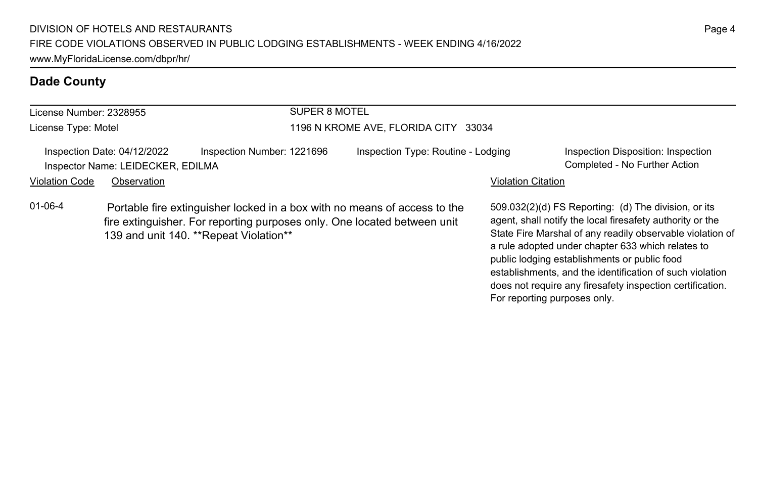| License Number: 2328955 |                                                                  |                                         | SUPER 8 MOTEL                        |                                                                                                                                                       |                           |                                                                                                                                                                                                                                     |
|-------------------------|------------------------------------------------------------------|-----------------------------------------|--------------------------------------|-------------------------------------------------------------------------------------------------------------------------------------------------------|---------------------------|-------------------------------------------------------------------------------------------------------------------------------------------------------------------------------------------------------------------------------------|
| License Type: Motel     |                                                                  |                                         | 1196 N KROME AVE, FLORIDA CITY 33034 |                                                                                                                                                       |                           |                                                                                                                                                                                                                                     |
|                         | Inspection Date: 04/12/2022<br>Inspector Name: LEIDECKER, EDILMA | Inspection Number: 1221696              |                                      | Inspection Type: Routine - Lodging                                                                                                                    |                           | Inspection Disposition: Inspection<br>Completed - No Further Action                                                                                                                                                                 |
| <b>Violation Code</b>   | Observation                                                      |                                         |                                      |                                                                                                                                                       | <b>Violation Citation</b> |                                                                                                                                                                                                                                     |
| $01 - 06 - 4$           |                                                                  | 139 and unit 140. ** Repeat Violation** |                                      | Portable fire extinguisher locked in a box with no means of access to the<br>fire extinguisher. For reporting purposes only. One located between unit |                           | 509.032(2)(d) FS Reporting: (d) The division, or its<br>agent, shall notify the local firesafety authority or the<br>State Fire Marshal of any readily observable violation of<br>a rule adopted under chapter 633 which relates to |

public lodging establishments or public food

For reporting purposes only.

establishments, and the identification of such violation does not require any firesafety inspection certification.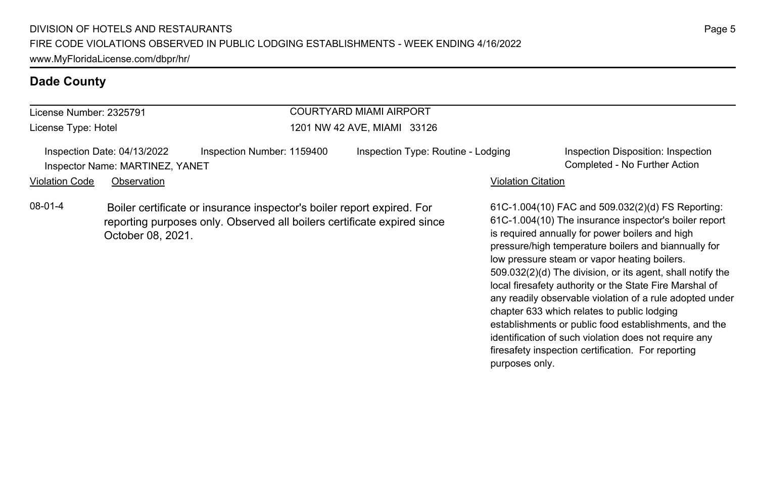| COURTYARD MIAMI AIRPORT<br>License Number: 2325791 |                                                                |                                                                                                                                                   |                                    |                           |                                                                                                                                                                                                                       |  |
|----------------------------------------------------|----------------------------------------------------------------|---------------------------------------------------------------------------------------------------------------------------------------------------|------------------------------------|---------------------------|-----------------------------------------------------------------------------------------------------------------------------------------------------------------------------------------------------------------------|--|
| License Type: Hotel                                |                                                                |                                                                                                                                                   | 1201 NW 42 AVE, MIAMI 33126        |                           |                                                                                                                                                                                                                       |  |
|                                                    | Inspection Date: 04/13/2022<br>Inspector Name: MARTINEZ, YANET | Inspection Number: 1159400                                                                                                                        | Inspection Type: Routine - Lodging |                           | Inspection Disposition: Inspection<br>Completed - No Further Action                                                                                                                                                   |  |
| <b>Violation Code</b>                              | Observation                                                    |                                                                                                                                                   |                                    | <b>Violation Citation</b> |                                                                                                                                                                                                                       |  |
| $08-01-4$                                          | October 08, 2021.                                              | Boiler certificate or insurance inspector's boiler report expired. For<br>reporting purposes only. Observed all boilers certificate expired since |                                    |                           | 61C-1.004(10) FAC and 509.032(2)(d) FS Reporting:<br>61C-1.004(10) The insurance inspector's boiler report<br>is required annually for power boilers and high<br>pressure/high temperature boilers and biannually for |  |

low pressure steam or vapor heating boilers.

chapter 633 which relates to public lodging

purposes only.

509.032(2)(d) The division, or its agent, shall notify the local firesafety authority or the State Fire Marshal of any readily observable violation of a rule adopted under

establishments or public food establishments, and the identification of such violation does not require any firesafety inspection certification. For reporting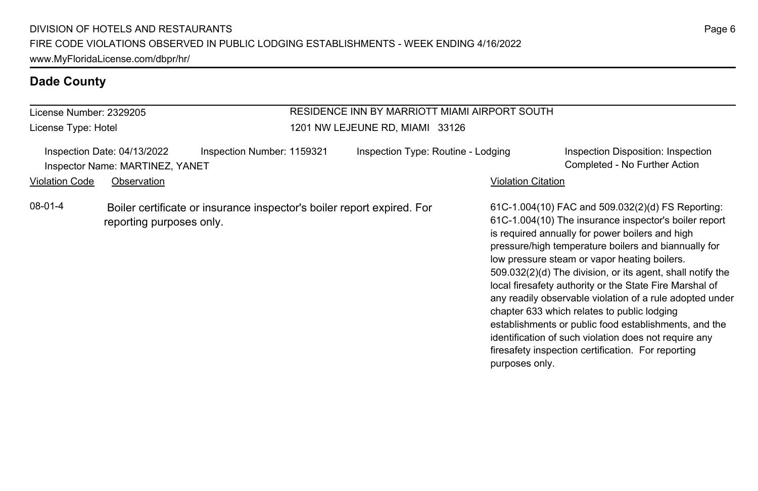License Number: 2329205 License Type: Hotel

#### RESIDENCE INN BY MARRIOTT MIAMI AIRPORT SOUTH 1201 NW LEJEUNE RD, MIAMI 33126

|                       | Inspection Date: 04/13/2022<br>Inspector Name: MARTINEZ, YANET | Inspection Number: 1159321                                             | Inspection Type: Routine - Lodging |                           | Inspection Disposition: Inspection<br>Completed - No Further Action                                                                                                                                                                                                                                                                                                                                                                                                                                                                                                                                                                                                               |
|-----------------------|----------------------------------------------------------------|------------------------------------------------------------------------|------------------------------------|---------------------------|-----------------------------------------------------------------------------------------------------------------------------------------------------------------------------------------------------------------------------------------------------------------------------------------------------------------------------------------------------------------------------------------------------------------------------------------------------------------------------------------------------------------------------------------------------------------------------------------------------------------------------------------------------------------------------------|
| <b>Violation Code</b> | Observation                                                    |                                                                        |                                    | <b>Violation Citation</b> |                                                                                                                                                                                                                                                                                                                                                                                                                                                                                                                                                                                                                                                                                   |
| 08-01-4               | reporting purposes only.                                       | Boiler certificate or insurance inspector's boiler report expired. For |                                    | purposes only.            | 61C-1.004(10) FAC and 509.032(2)(d) FS Reporting:<br>61C-1.004(10) The insurance inspector's boiler report<br>is required annually for power boilers and high<br>pressure/high temperature boilers and biannually for<br>low pressure steam or vapor heating boilers.<br>509.032(2)(d) The division, or its agent, shall notify the<br>local firesafety authority or the State Fire Marshal of<br>any readily observable violation of a rule adopted under<br>chapter 633 which relates to public lodging<br>establishments or public food establishments, and the<br>identification of such violation does not require any<br>firesafety inspection certification. For reporting |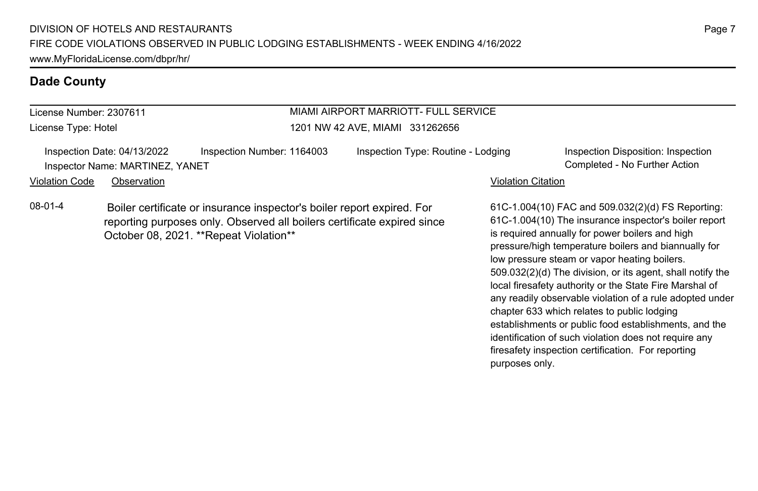# License Number: 2307611

License Type: Hotel

#### MIAMI AIRPORT MARRIOTT- FULL SERVICE 1201 NW 42 AVE, MIAMI 331262656

Inspection Date: 04/13/2022 Inspection Number: 1164003 Inspection Type: Routine - Lodging Inspection Disposition: Inspection Inspector Name: MARTINEZ, YANET Completed - No Further Action

Violation Code Observation **Violation Code** Observation **Violation** Violation Citation Citation Citation Citation

08-01-4 Boiler certificate or insurance inspector's boiler report expired. For reporting purposes only. Observed all boilers certificate expired since October 08, 2021. \*\*Repeat Violation\*\*

61C-1.004(10) FAC and 509.032(2)(d) FS Reporting: 61C-1.004(10) The insurance inspector's boiler report is required annually for power boilers and high pressure/high temperature boilers and biannually for low pressure steam or vapor heating boilers. 509.032(2)(d) The division, or its agent, shall notify the local firesafety authority or the State Fire Marshal of any readily observable violation of a rule adopted under chapter 633 which relates to public lodging establishments or public food establishments, and the identification of such violation does not require any firesafety inspection certification. For reporting purposes only.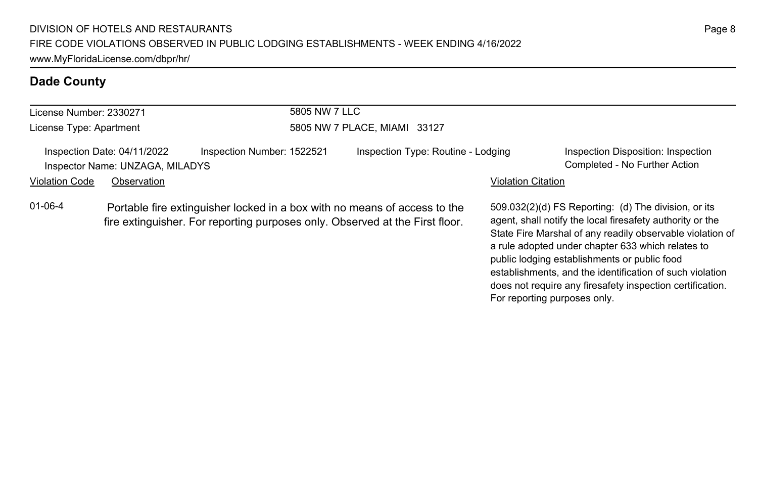| License Number: 2330271 |                                                                | 5805 NW 7 LLC                                                                                                                                             |                                    |                           |                                                                                                                                                                                |
|-------------------------|----------------------------------------------------------------|-----------------------------------------------------------------------------------------------------------------------------------------------------------|------------------------------------|---------------------------|--------------------------------------------------------------------------------------------------------------------------------------------------------------------------------|
| License Type: Apartment |                                                                |                                                                                                                                                           | 5805 NW 7 PLACE, MIAMI 33127       |                           |                                                                                                                                                                                |
|                         | Inspection Date: 04/11/2022<br>Inspector Name: UNZAGA, MILADYS | Inspection Number: 1522521                                                                                                                                | Inspection Type: Routine - Lodging |                           | Inspection Disposition: Inspection<br>Completed - No Further Action                                                                                                            |
| <b>Violation Code</b>   | Observation                                                    |                                                                                                                                                           |                                    | <b>Violation Citation</b> |                                                                                                                                                                                |
| $01 - 06 - 4$           |                                                                | Portable fire extinguisher locked in a box with no means of access to the<br>fire extinguisher. For reporting purposes only. Observed at the First floor. |                                    |                           | 509.032(2)(d) FS Reporting: (d) The division, or its<br>agent, shall notify the local firesafety authority or the<br>State Fire Marshal of any readily observable violation of |

State Fire Marshal of any readily observable violation of a rule adopted under chapter 633 which relates to public lodging establishments or public food establishments, and the identification of such violation does not require any firesafety inspection certification.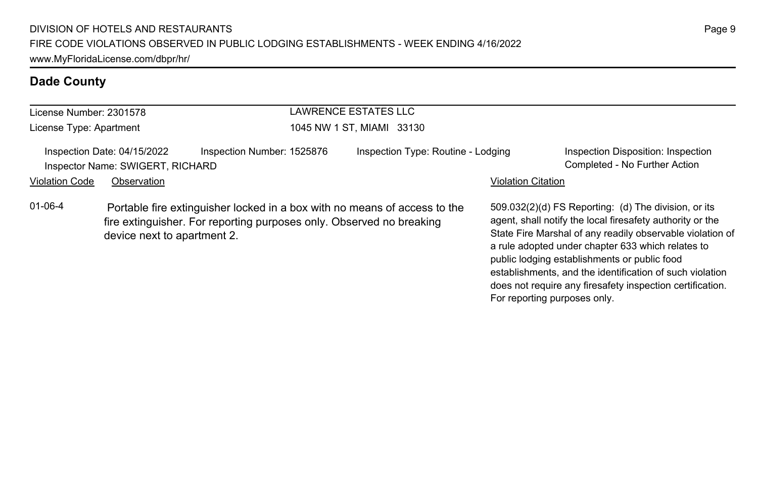| <b>LAWRENCE ESTATES LLC</b><br>License Number: 2301578<br>License Type: Apartment<br>1045 NW 1 ST. MIAMI 33130 |                                                                 |                                                                      |  |                                                                           |                           |                                                                                                                                                                                                                                                                                                                                                                                                              |
|----------------------------------------------------------------------------------------------------------------|-----------------------------------------------------------------|----------------------------------------------------------------------|--|---------------------------------------------------------------------------|---------------------------|--------------------------------------------------------------------------------------------------------------------------------------------------------------------------------------------------------------------------------------------------------------------------------------------------------------------------------------------------------------------------------------------------------------|
|                                                                                                                |                                                                 |                                                                      |  |                                                                           |                           |                                                                                                                                                                                                                                                                                                                                                                                                              |
|                                                                                                                | Inspection Date: 04/15/2022<br>Inspector Name: SWIGERT, RICHARD | Inspection Number: 1525876                                           |  | Inspection Type: Routine - Lodging                                        |                           | Inspection Disposition: Inspection<br>Completed - No Further Action                                                                                                                                                                                                                                                                                                                                          |
| <b>Violation Code</b>                                                                                          | Observation                                                     |                                                                      |  |                                                                           | <b>Violation Citation</b> |                                                                                                                                                                                                                                                                                                                                                                                                              |
| $01 - 06 - 4$                                                                                                  | device next to apartment 2.                                     | fire extinguisher. For reporting purposes only. Observed no breaking |  | Portable fire extinguisher locked in a box with no means of access to the |                           | 509.032(2)(d) FS Reporting: (d) The division, or its<br>agent, shall notify the local firesafety authority or the<br>State Fire Marshal of any readily observable violation of<br>a rule adopted under chapter 633 which relates to<br>public lodging establishments or public food<br>establishments, and the identification of such violation<br>does not require any firesafety inspection certification. |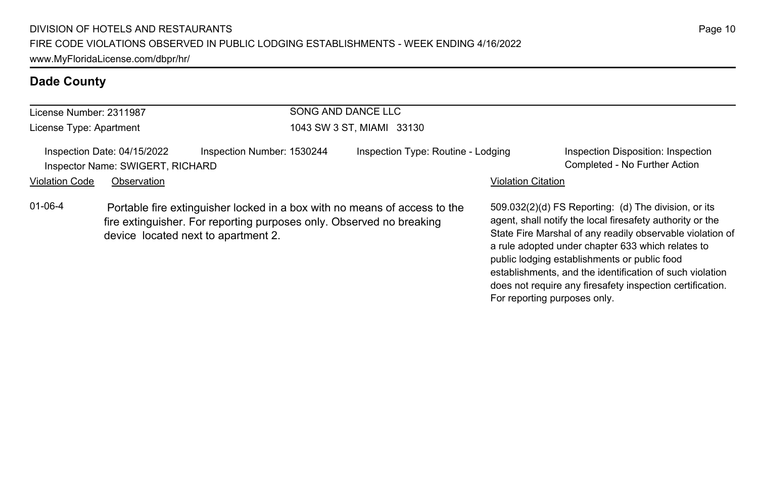| License Number: 2311987 |                                                                 |                                                                                                                                                                                          | SONG AND DANCE LLC |                                    |                           |                                                                                                                                                                                                                                                                                                                                                                                                              |
|-------------------------|-----------------------------------------------------------------|------------------------------------------------------------------------------------------------------------------------------------------------------------------------------------------|--------------------|------------------------------------|---------------------------|--------------------------------------------------------------------------------------------------------------------------------------------------------------------------------------------------------------------------------------------------------------------------------------------------------------------------------------------------------------------------------------------------------------|
| License Type: Apartment |                                                                 |                                                                                                                                                                                          |                    | 1043 SW 3 ST, MIAMI 33130          |                           |                                                                                                                                                                                                                                                                                                                                                                                                              |
|                         | Inspection Date: 04/15/2022<br>Inspector Name: SWIGERT, RICHARD | Inspection Number: 1530244                                                                                                                                                               |                    | Inspection Type: Routine - Lodging |                           | Inspection Disposition: Inspection<br>Completed - No Further Action                                                                                                                                                                                                                                                                                                                                          |
| <b>Violation Code</b>   | Observation                                                     |                                                                                                                                                                                          |                    |                                    | <b>Violation Citation</b> |                                                                                                                                                                                                                                                                                                                                                                                                              |
| $01 - 06 - 4$           |                                                                 | Portable fire extinguisher locked in a box with no means of access to the<br>fire extinguisher. For reporting purposes only. Observed no breaking<br>device located next to apartment 2. |                    |                                    |                           | 509.032(2)(d) FS Reporting: (d) The division, or its<br>agent, shall notify the local firesafety authority or the<br>State Fire Marshal of any readily observable violation of<br>a rule adopted under chapter 633 which relates to<br>public lodging establishments or public food<br>establishments, and the identification of such violation<br>does not require any firesafety inspection certification. |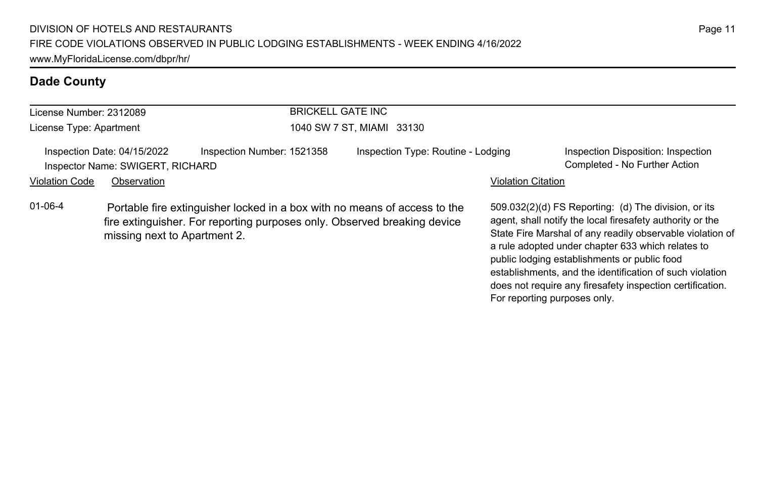| License Number: 2312089                                                                       |                              |  | <b>BRICKELL GATE INC</b>           |                                                                                                                                                       |                                                                     |                                                                                                                                                                                                                                     |
|-----------------------------------------------------------------------------------------------|------------------------------|--|------------------------------------|-------------------------------------------------------------------------------------------------------------------------------------------------------|---------------------------------------------------------------------|-------------------------------------------------------------------------------------------------------------------------------------------------------------------------------------------------------------------------------------|
| License Type: Apartment                                                                       |                              |  | 1040 SW 7 ST, MIAMI 33130          |                                                                                                                                                       |                                                                     |                                                                                                                                                                                                                                     |
| Inspection Number: 1521358<br>Inspection Date: 04/15/2022<br>Inspector Name: SWIGERT, RICHARD |                              |  | Inspection Type: Routine - Lodging |                                                                                                                                                       | Inspection Disposition: Inspection<br>Completed - No Further Action |                                                                                                                                                                                                                                     |
| <b>Violation Code</b>                                                                         | Observation                  |  |                                    |                                                                                                                                                       | <b>Violation Citation</b>                                           |                                                                                                                                                                                                                                     |
| 01-06-4                                                                                       | missing next to Apartment 2. |  |                                    | Portable fire extinguisher locked in a box with no means of access to the<br>fire extinguisher. For reporting purposes only. Observed breaking device |                                                                     | 509.032(2)(d) FS Reporting: (d) The division, or its<br>agent, shall notify the local firesafety authority or the<br>State Fire Marshal of any readily observable violation of<br>a rule adopted under chapter 633 which relates to |

public lodging establishments or public food

For reporting purposes only.

establishments, and the identification of such violation does not require any firesafety inspection certification.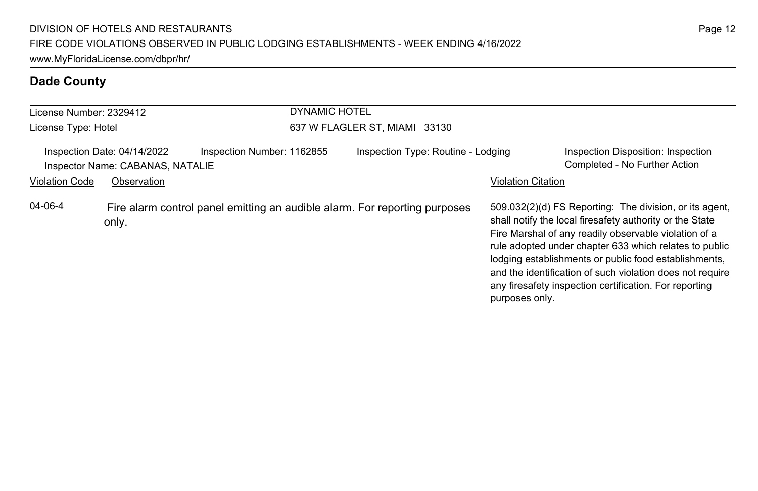| License Number: 2329412 |                                                                 |                            | <b>DYNAMIC HOTEL</b> |                                                                            |                           |                                                                                                                                                                                                                                                                                                                                                                                                                        |  |  |
|-------------------------|-----------------------------------------------------------------|----------------------------|----------------------|----------------------------------------------------------------------------|---------------------------|------------------------------------------------------------------------------------------------------------------------------------------------------------------------------------------------------------------------------------------------------------------------------------------------------------------------------------------------------------------------------------------------------------------------|--|--|
| License Type: Hotel     |                                                                 |                            |                      | 637 W FLAGLER ST, MIAMI 33130                                              |                           |                                                                                                                                                                                                                                                                                                                                                                                                                        |  |  |
|                         | Inspection Date: 04/14/2022<br>Inspector Name: CABANAS, NATALIE | Inspection Number: 1162855 |                      | Inspection Type: Routine - Lodging                                         |                           | Inspection Disposition: Inspection<br>Completed - No Further Action                                                                                                                                                                                                                                                                                                                                                    |  |  |
| <b>Violation Code</b>   | Observation                                                     |                            |                      |                                                                            | <b>Violation Citation</b> |                                                                                                                                                                                                                                                                                                                                                                                                                        |  |  |
| 04-06-4                 | only.                                                           |                            |                      | Fire alarm control panel emitting an audible alarm. For reporting purposes | purposes only.            | 509.032(2)(d) FS Reporting: The division, or its agent,<br>shall notify the local firesafety authority or the State<br>Fire Marshal of any readily observable violation of a<br>rule adopted under chapter 633 which relates to public<br>lodging establishments or public food establishments,<br>and the identification of such violation does not require<br>any firesafety inspection certification. For reporting |  |  |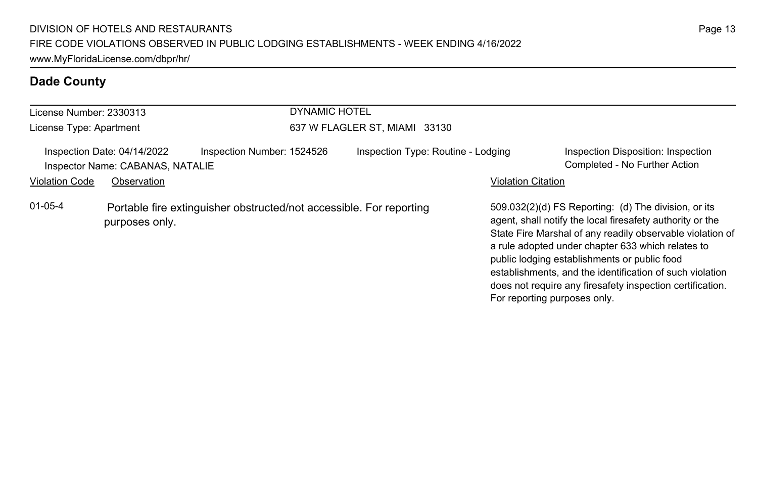| License Number: 2330313 |                                                                 | <b>DYNAMIC HOTEL</b>                                                |                                    |                              |                                                                                                                                                                                                                                                                                                                                                                                                              |
|-------------------------|-----------------------------------------------------------------|---------------------------------------------------------------------|------------------------------------|------------------------------|--------------------------------------------------------------------------------------------------------------------------------------------------------------------------------------------------------------------------------------------------------------------------------------------------------------------------------------------------------------------------------------------------------------|
| License Type: Apartment |                                                                 |                                                                     | 637 W FLAGLER ST, MIAMI 33130      |                              |                                                                                                                                                                                                                                                                                                                                                                                                              |
|                         | Inspection Date: 04/14/2022<br>Inspector Name: CABANAS, NATALIE | Inspection Number: 1524526                                          | Inspection Type: Routine - Lodging |                              | Inspection Disposition: Inspection<br>Completed - No Further Action                                                                                                                                                                                                                                                                                                                                          |
| <b>Violation Code</b>   | Observation                                                     |                                                                     |                                    | <b>Violation Citation</b>    |                                                                                                                                                                                                                                                                                                                                                                                                              |
| $01 - 05 - 4$           | purposes only.                                                  | Portable fire extinguisher obstructed/not accessible. For reporting |                                    | For reporting purposes only. | 509.032(2)(d) FS Reporting: (d) The division, or its<br>agent, shall notify the local firesafety authority or the<br>State Fire Marshal of any readily observable violation of<br>a rule adopted under chapter 633 which relates to<br>public lodging establishments or public food<br>establishments, and the identification of such violation<br>does not require any firesafety inspection certification. |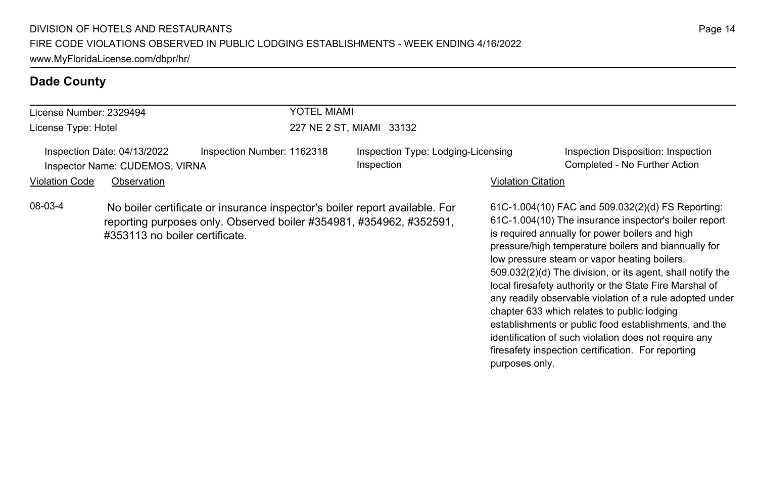| License Number: 2329494                                       |                                                                                                                                                                                      | YOTEL MIAMI                |                                                  |                           |                                                                                                                                                                                                                                                                                                                                                                                                                                                                                                                                                                                                                                                                                   |
|---------------------------------------------------------------|--------------------------------------------------------------------------------------------------------------------------------------------------------------------------------------|----------------------------|--------------------------------------------------|---------------------------|-----------------------------------------------------------------------------------------------------------------------------------------------------------------------------------------------------------------------------------------------------------------------------------------------------------------------------------------------------------------------------------------------------------------------------------------------------------------------------------------------------------------------------------------------------------------------------------------------------------------------------------------------------------------------------------|
| License Type: Hotel                                           |                                                                                                                                                                                      |                            | 227 NE 2 ST, MIAMI 33132                         |                           |                                                                                                                                                                                                                                                                                                                                                                                                                                                                                                                                                                                                                                                                                   |
| Inspection Date: 04/13/2022<br>Inspector Name: CUDEMOS, VIRNA |                                                                                                                                                                                      | Inspection Number: 1162318 | Inspection Type: Lodging-Licensing<br>Inspection |                           | Inspection Disposition: Inspection<br>Completed - No Further Action                                                                                                                                                                                                                                                                                                                                                                                                                                                                                                                                                                                                               |
| <b>Violation Code</b><br>Observation                          |                                                                                                                                                                                      |                            |                                                  | <b>Violation Citation</b> |                                                                                                                                                                                                                                                                                                                                                                                                                                                                                                                                                                                                                                                                                   |
| 08-03-4                                                       | No boiler certificate or insurance inspector's boiler report available. For<br>reporting purposes only. Observed boiler #354981, #354962, #352591,<br>#353113 no boiler certificate. |                            |                                                  | purposes only.            | 61C-1.004(10) FAC and 509.032(2)(d) FS Reporting:<br>61C-1.004(10) The insurance inspector's boiler report<br>is required annually for power boilers and high<br>pressure/high temperature boilers and biannually for<br>low pressure steam or vapor heating boilers.<br>509.032(2)(d) The division, or its agent, shall notify the<br>local firesafety authority or the State Fire Marshal of<br>any readily observable violation of a rule adopted under<br>chapter 633 which relates to public lodging<br>establishments or public food establishments, and the<br>identification of such violation does not require any<br>firesafety inspection certification. For reporting |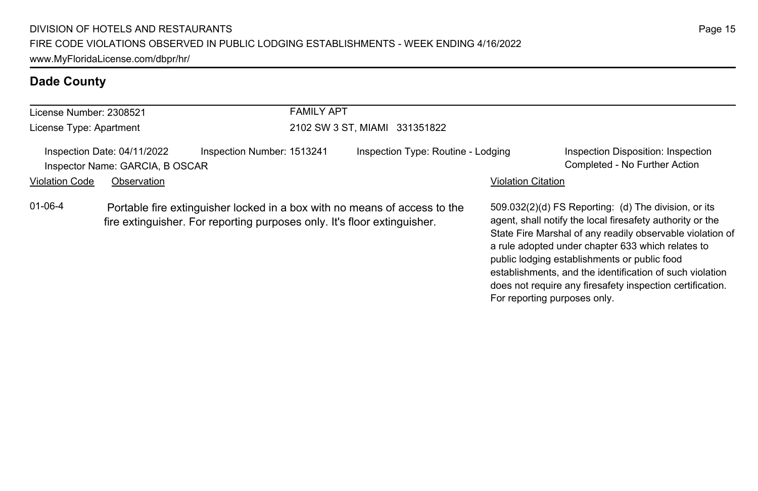| License Number: 2308521 |                                                                | <b>FAMILY APT</b>                                                                                                                                     |                                    |                              |                                                                                                                                                                                                                                                                                                                                                                                                              |  |  |
|-------------------------|----------------------------------------------------------------|-------------------------------------------------------------------------------------------------------------------------------------------------------|------------------------------------|------------------------------|--------------------------------------------------------------------------------------------------------------------------------------------------------------------------------------------------------------------------------------------------------------------------------------------------------------------------------------------------------------------------------------------------------------|--|--|
| License Type: Apartment |                                                                |                                                                                                                                                       | 2102 SW 3 ST, MIAMI 331351822      |                              |                                                                                                                                                                                                                                                                                                                                                                                                              |  |  |
|                         | Inspection Date: 04/11/2022<br>Inspector Name: GARCIA, B OSCAR | Inspection Number: 1513241                                                                                                                            | Inspection Type: Routine - Lodging |                              | Inspection Disposition: Inspection<br>Completed - No Further Action                                                                                                                                                                                                                                                                                                                                          |  |  |
| <b>Violation Code</b>   | Observation                                                    |                                                                                                                                                       |                                    | <b>Violation Citation</b>    |                                                                                                                                                                                                                                                                                                                                                                                                              |  |  |
| $01 - 06 - 4$           |                                                                | Portable fire extinguisher locked in a box with no means of access to the<br>fire extinguisher. For reporting purposes only. It's floor extinguisher. |                                    | For reporting purposes only. | 509.032(2)(d) FS Reporting: (d) The division, or its<br>agent, shall notify the local firesafety authority or the<br>State Fire Marshal of any readily observable violation of<br>a rule adopted under chapter 633 which relates to<br>public lodging establishments or public food<br>establishments, and the identification of such violation<br>does not require any firesafety inspection certification. |  |  |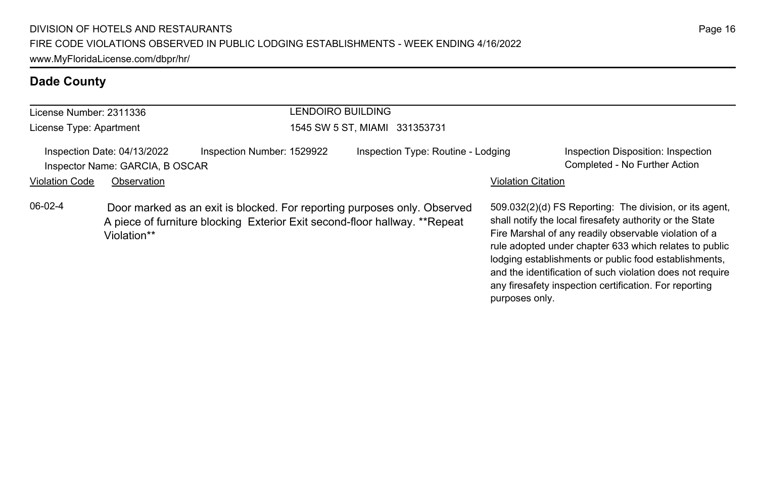| LENDOIRO BUILDING<br>License Number: 2311336 |                                                                |                                                                                                                                                         |                                    |                           |                                                                                                                                                                                                                                                                                                                                                                                                                        |
|----------------------------------------------|----------------------------------------------------------------|---------------------------------------------------------------------------------------------------------------------------------------------------------|------------------------------------|---------------------------|------------------------------------------------------------------------------------------------------------------------------------------------------------------------------------------------------------------------------------------------------------------------------------------------------------------------------------------------------------------------------------------------------------------------|
| License Type: Apartment                      |                                                                |                                                                                                                                                         | 1545 SW 5 ST, MIAMI 331353731      |                           |                                                                                                                                                                                                                                                                                                                                                                                                                        |
|                                              | Inspection Date: 04/13/2022<br>Inspector Name: GARCIA, B OSCAR | Inspection Number: 1529922                                                                                                                              | Inspection Type: Routine - Lodging |                           | Inspection Disposition: Inspection<br>Completed - No Further Action                                                                                                                                                                                                                                                                                                                                                    |
| <b>Violation Code</b>                        | Observation                                                    |                                                                                                                                                         |                                    | <b>Violation Citation</b> |                                                                                                                                                                                                                                                                                                                                                                                                                        |
| $06-02-4$                                    | Violation**                                                    | Door marked as an exit is blocked. For reporting purposes only. Observed<br>A piece of furniture blocking Exterior Exit second-floor hallway. ** Repeat |                                    | purposes only.            | 509.032(2)(d) FS Reporting: The division, or its agent,<br>shall notify the local firesafety authority or the State<br>Fire Marshal of any readily observable violation of a<br>rule adopted under chapter 633 which relates to public<br>lodging establishments or public food establishments,<br>and the identification of such violation does not require<br>any firesafety inspection certification. For reporting |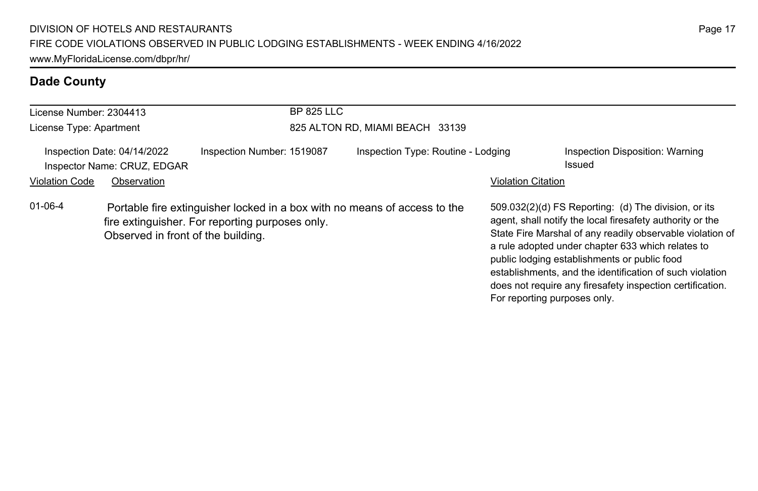| License Number: 2304413 |                                                            | <b>BP 825 LLC</b>                                                                                                            |                                    |                              |                                                                                                                                                                                                                                                                                                                                                                                                              |  |  |
|-------------------------|------------------------------------------------------------|------------------------------------------------------------------------------------------------------------------------------|------------------------------------|------------------------------|--------------------------------------------------------------------------------------------------------------------------------------------------------------------------------------------------------------------------------------------------------------------------------------------------------------------------------------------------------------------------------------------------------------|--|--|
| License Type: Apartment |                                                            |                                                                                                                              | 825 ALTON RD, MIAMI BEACH 33139    |                              |                                                                                                                                                                                                                                                                                                                                                                                                              |  |  |
|                         | Inspection Date: 04/14/2022<br>Inspector Name: CRUZ, EDGAR | Inspection Number: 1519087                                                                                                   | Inspection Type: Routine - Lodging |                              | Inspection Disposition: Warning<br>Issued                                                                                                                                                                                                                                                                                                                                                                    |  |  |
| <b>Violation Code</b>   | Observation                                                |                                                                                                                              |                                    | <b>Violation Citation</b>    |                                                                                                                                                                                                                                                                                                                                                                                                              |  |  |
| $01 - 06 - 4$           | Observed in front of the building.                         | Portable fire extinguisher locked in a box with no means of access to the<br>fire extinguisher. For reporting purposes only. |                                    | For reporting purposes only. | 509.032(2)(d) FS Reporting: (d) The division, or its<br>agent, shall notify the local firesafety authority or the<br>State Fire Marshal of any readily observable violation of<br>a rule adopted under chapter 633 which relates to<br>public lodging establishments or public food<br>establishments, and the identification of such violation<br>does not require any firesafety inspection certification. |  |  |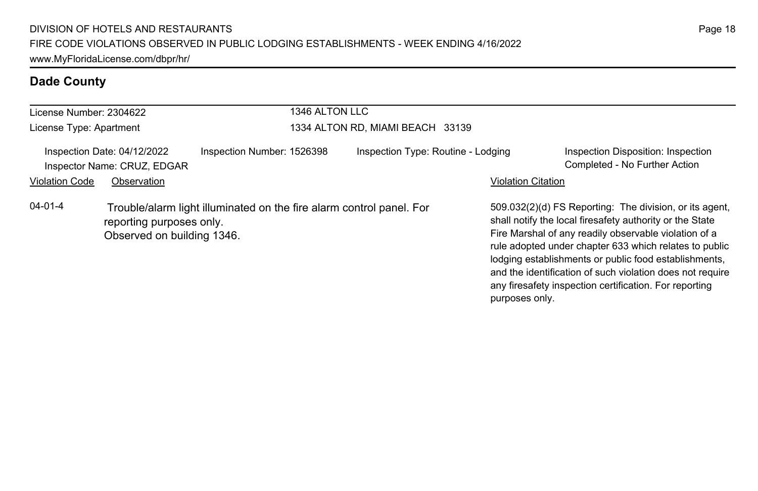| License Number: 2304622 |                                                            |                                                                      | 1346 ALTON LLC                   |                                    |                           |                                                                                                                                                                                                                                                                                                                                                                                                                        |  |
|-------------------------|------------------------------------------------------------|----------------------------------------------------------------------|----------------------------------|------------------------------------|---------------------------|------------------------------------------------------------------------------------------------------------------------------------------------------------------------------------------------------------------------------------------------------------------------------------------------------------------------------------------------------------------------------------------------------------------------|--|
| License Type: Apartment |                                                            |                                                                      | 1334 ALTON RD, MIAMI BEACH 33139 |                                    |                           |                                                                                                                                                                                                                                                                                                                                                                                                                        |  |
|                         | Inspection Date: 04/12/2022<br>Inspector Name: CRUZ, EDGAR | Inspection Number: 1526398                                           |                                  | Inspection Type: Routine - Lodging |                           | Inspection Disposition: Inspection<br>Completed - No Further Action                                                                                                                                                                                                                                                                                                                                                    |  |
| <b>Violation Code</b>   | Observation                                                |                                                                      |                                  |                                    | <b>Violation Citation</b> |                                                                                                                                                                                                                                                                                                                                                                                                                        |  |
| $04 - 01 - 4$           | reporting purposes only.<br>Observed on building 1346.     | Trouble/alarm light illuminated on the fire alarm control panel. For |                                  |                                    |                           | 509.032(2)(d) FS Reporting: The division, or its agent.<br>shall notify the local firesafety authority or the State<br>Fire Marshal of any readily observable violation of a<br>rule adopted under chapter 633 which relates to public<br>lodging establishments or public food establishments,<br>and the identification of such violation does not require<br>any firesafety inspection certification. For reporting |  |

purposes only.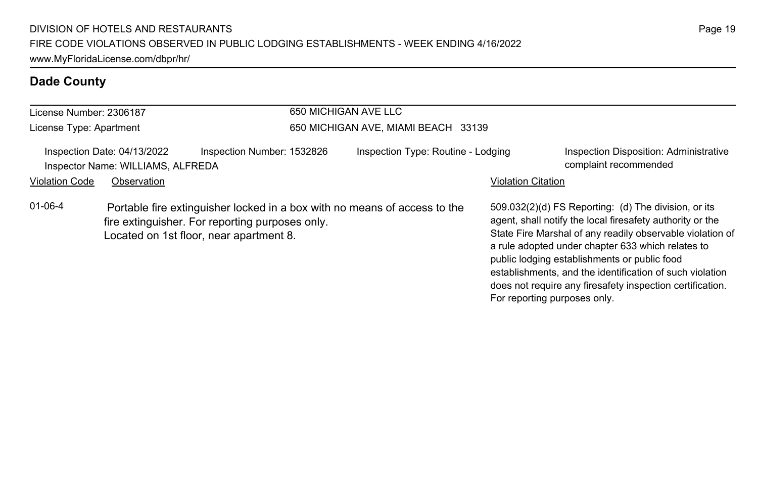| License Number: 2306187 |                                                                  |                                                                                                                                                                         | 650 MICHIGAN AVE LLC                |                           |                                                                                                                                                                                                                                                                                                                                                                                                                                              |  |  |
|-------------------------|------------------------------------------------------------------|-------------------------------------------------------------------------------------------------------------------------------------------------------------------------|-------------------------------------|---------------------------|----------------------------------------------------------------------------------------------------------------------------------------------------------------------------------------------------------------------------------------------------------------------------------------------------------------------------------------------------------------------------------------------------------------------------------------------|--|--|
| License Type: Apartment |                                                                  |                                                                                                                                                                         | 650 MICHIGAN AVE, MIAMI BEACH 33139 |                           |                                                                                                                                                                                                                                                                                                                                                                                                                                              |  |  |
|                         | Inspection Date: 04/13/2022<br>Inspector Name: WILLIAMS, ALFREDA | Inspection Number: 1532826                                                                                                                                              | Inspection Type: Routine - Lodging  |                           | <b>Inspection Disposition: Administrative</b><br>complaint recommended                                                                                                                                                                                                                                                                                                                                                                       |  |  |
| <b>Violation Code</b>   | Observation                                                      |                                                                                                                                                                         |                                     | <b>Violation Citation</b> |                                                                                                                                                                                                                                                                                                                                                                                                                                              |  |  |
| $01-06-4$               |                                                                  | Portable fire extinguisher locked in a box with no means of access to the<br>fire extinguisher. For reporting purposes only.<br>Located on 1st floor, near apartment 8. |                                     |                           | 509.032(2)(d) FS Reporting: (d) The division, or its<br>agent, shall notify the local firesafety authority or the<br>State Fire Marshal of any readily observable violation of<br>a rule adopted under chapter 633 which relates to<br>public lodging establishments or public food<br>establishments, and the identification of such violation<br>does not require any firesafety inspection certification.<br>For reporting purposes only. |  |  |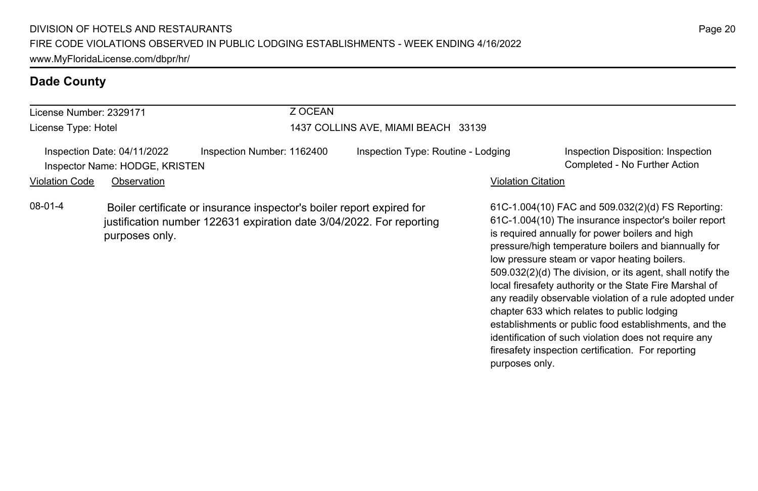| License Number: 2329171 |                                                               | Z OCEAN                                                                                                                                       |                                    |                           |                                                                                                                                                                                                                                                                                                                                                                                                |
|-------------------------|---------------------------------------------------------------|-----------------------------------------------------------------------------------------------------------------------------------------------|------------------------------------|---------------------------|------------------------------------------------------------------------------------------------------------------------------------------------------------------------------------------------------------------------------------------------------------------------------------------------------------------------------------------------------------------------------------------------|
| License Type: Hotel     |                                                               | 1437 COLLINS AVE. MIAMI BEACH 33139                                                                                                           |                                    |                           |                                                                                                                                                                                                                                                                                                                                                                                                |
|                         | Inspection Date: 04/11/2022<br>Inspector Name: HODGE, KRISTEN | Inspection Number: 1162400                                                                                                                    | Inspection Type: Routine - Lodging |                           | Inspection Disposition: Inspection<br>Completed - No Further Action                                                                                                                                                                                                                                                                                                                            |
| Violation Code          | Observation                                                   |                                                                                                                                               |                                    | <b>Violation Citation</b> |                                                                                                                                                                                                                                                                                                                                                                                                |
| 08-01-4                 | purposes only.                                                | Boiler certificate or insurance inspector's boiler report expired for<br>justification number 122631 expiration date 3/04/2022. For reporting |                                    |                           | 61C-1.004(10) FAC and 509.032(2)(d) FS Reporting:<br>61C-1.004(10) The insurance inspector's boiler report<br>is required annually for power boilers and high<br>pressure/high temperature boilers and biannually for<br>low pressure steam or vapor heating boilers.<br>509.032(2)(d) The division, or its agent, shall notify the<br>local firesafety authority or the State Fire Marshal of |

any readily observable violation of a rule adopted under

establishments or public food establishments, and the identification of such violation does not require any firesafety inspection certification. For reporting

chapter 633 which relates to public lodging

purposes only.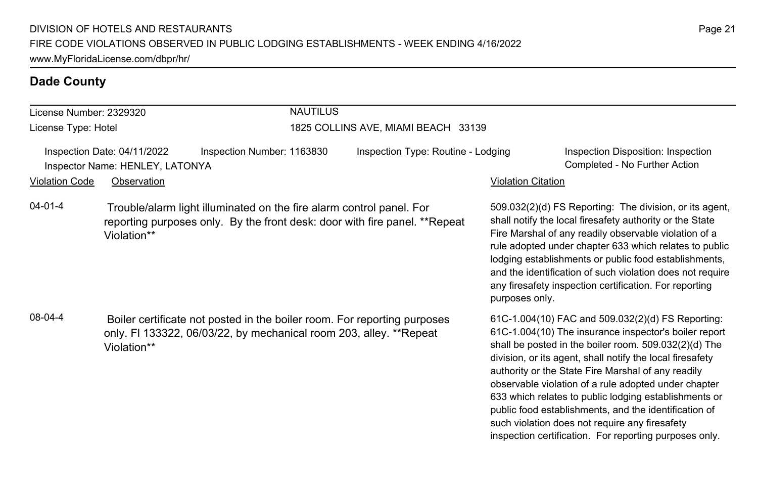| License Number: 2329320                                        |             | <b>NAUTILUS</b>                                                                                                                                    |                                     |                    |                                                                                                                                                                                                                                                                                                                                                                                                                        |  |  |
|----------------------------------------------------------------|-------------|----------------------------------------------------------------------------------------------------------------------------------------------------|-------------------------------------|--------------------|------------------------------------------------------------------------------------------------------------------------------------------------------------------------------------------------------------------------------------------------------------------------------------------------------------------------------------------------------------------------------------------------------------------------|--|--|
| License Type: Hotel                                            |             |                                                                                                                                                    | 1825 COLLINS AVE, MIAMI BEACH 33139 |                    |                                                                                                                                                                                                                                                                                                                                                                                                                        |  |  |
| Inspection Date: 04/11/2022<br>Inspector Name: HENLEY, LATONYA |             | Inspection Number: 1163830                                                                                                                         | Inspection Type: Routine - Lodging  |                    | Inspection Disposition: Inspection<br>Completed - No Further Action                                                                                                                                                                                                                                                                                                                                                    |  |  |
| Violation Code                                                 | Observation |                                                                                                                                                    |                                     | Violation Citation |                                                                                                                                                                                                                                                                                                                                                                                                                        |  |  |
| 04-01-4                                                        | Violation** | Trouble/alarm light illuminated on the fire alarm control panel. For<br>reporting purposes only. By the front desk: door with fire panel. **Repeat |                                     | purposes only.     | 509.032(2)(d) FS Reporting: The division, or its agent,<br>shall notify the local firesafety authority or the State<br>Fire Marshal of any readily observable violation of a<br>rule adopted under chapter 633 which relates to public<br>lodging establishments or public food establishments,<br>and the identification of such violation does not require<br>any firesafety inspection certification. For reporting |  |  |
| 08-04-4                                                        | Violation** | Boiler certificate not posted in the boiler room. For reporting purposes<br>only. FI 133322, 06/03/22, by mechanical room 203, alley. **Repeat     |                                     |                    | 61C-1.004(10) FAC and 509.032(2)(d) FS Reporting:<br>61C-1.004(10) The insurance inspector's boiler report<br>shall be posted in the boiler room. 509.032(2)(d) The<br>division, or its agent, shall notify the local firesafety                                                                                                                                                                                       |  |  |

authority or the State Fire Marshal of any readily observable violation of a rule adopted under chapter 633 which relates to public lodging establishments or public food establishments, and the identification of such violation does not require any firesafety inspection certification. For reporting purposes only.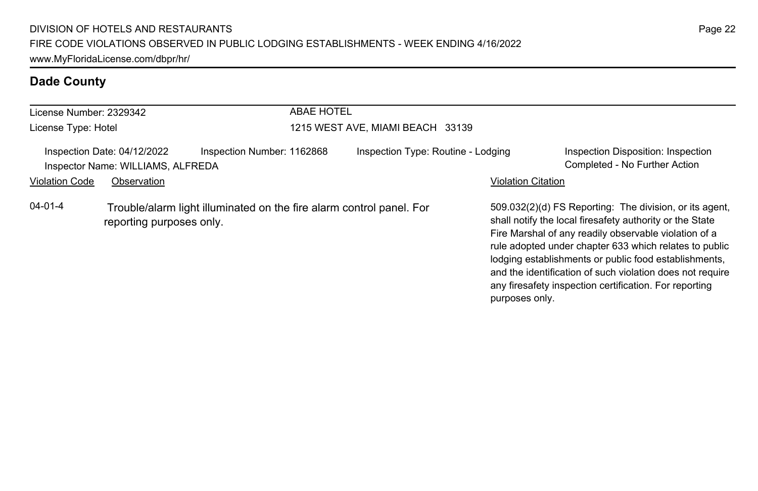| License Number: 2329342 |                                                                  |                                                                      | <b>ABAE HOTEL</b>                  |                           |                                                                                                                                                                                                                                                                                                 |  |
|-------------------------|------------------------------------------------------------------|----------------------------------------------------------------------|------------------------------------|---------------------------|-------------------------------------------------------------------------------------------------------------------------------------------------------------------------------------------------------------------------------------------------------------------------------------------------|--|
| License Type: Hotel     |                                                                  |                                                                      | 1215 WEST AVE, MIAMI BEACH 33139   |                           |                                                                                                                                                                                                                                                                                                 |  |
|                         | Inspection Date: 04/12/2022<br>Inspector Name: WILLIAMS, ALFREDA | Inspection Number: 1162868                                           | Inspection Type: Routine - Lodging |                           | Inspection Disposition: Inspection<br>Completed - No Further Action                                                                                                                                                                                                                             |  |
| <b>Violation Code</b>   | Observation                                                      |                                                                      |                                    | <b>Violation Citation</b> |                                                                                                                                                                                                                                                                                                 |  |
| $04 - 01 - 4$           | reporting purposes only.                                         | Trouble/alarm light illuminated on the fire alarm control panel. For |                                    |                           | 509.032(2)(d) FS Reporting: The division, or its agent.<br>shall notify the local firesafety authority or the State<br>Fire Marshal of any readily observable violation of a<br>rule adopted under chapter 633 which relates to public<br>lodging establishments or public food establishments, |  |

and the identification of such violation does not require any firesafety inspection certification. For reporting

purposes only.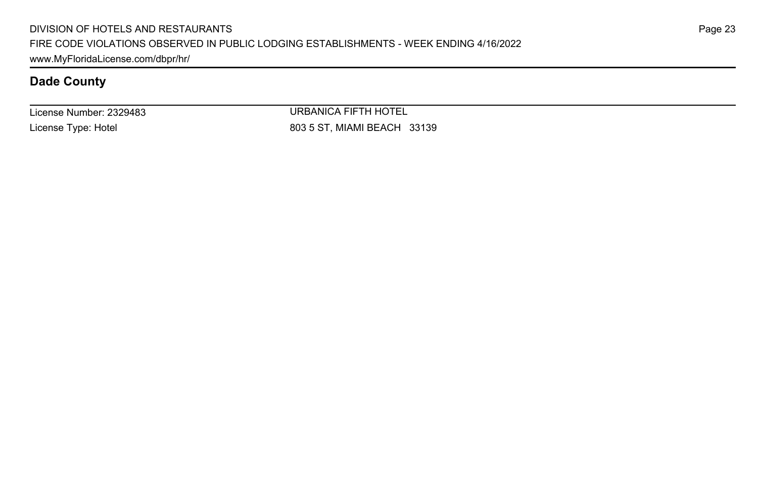License Number: 2329483 License Type: Hotel

URBANICA FIFTH HOTEL 803 5 ST, MIAMI BEACH 33139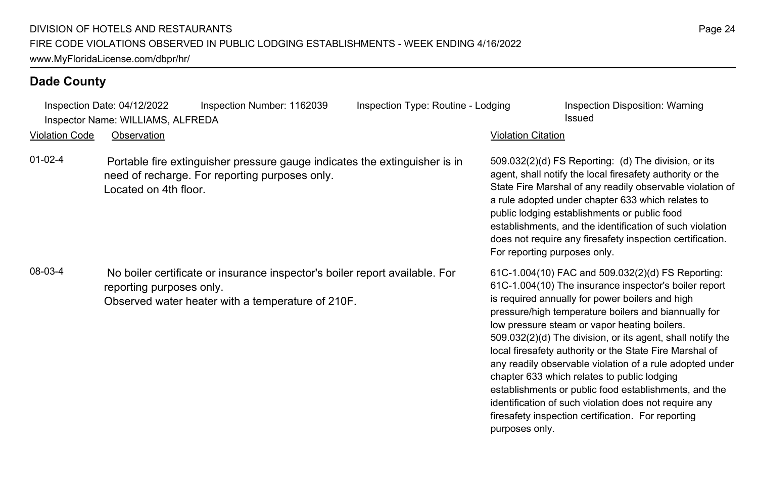| <b>Violation Code</b> | Inspection Date: 04/12/2022<br>Inspector Name: WILLIAMS, ALFREDA<br>Observation | Inspection Number: 1162039                                                                                                       | Inspection Type: Routine - Lodging | <b>Violation Citation</b>    | Inspection Disposition: Warning<br>Issued                                                                                                                                                                                                                                                                                                                                                                                                                                                                                                                                                                                                                                         |
|-----------------------|---------------------------------------------------------------------------------|----------------------------------------------------------------------------------------------------------------------------------|------------------------------------|------------------------------|-----------------------------------------------------------------------------------------------------------------------------------------------------------------------------------------------------------------------------------------------------------------------------------------------------------------------------------------------------------------------------------------------------------------------------------------------------------------------------------------------------------------------------------------------------------------------------------------------------------------------------------------------------------------------------------|
| $01-02-4$             | Located on 4th floor.                                                           | Portable fire extinguisher pressure gauge indicates the extinguisher is in<br>need of recharge. For reporting purposes only.     |                                    | For reporting purposes only. | 509.032(2)(d) FS Reporting: (d) The division, or its<br>agent, shall notify the local firesafety authority or the<br>State Fire Marshal of any readily observable violation of<br>a rule adopted under chapter 633 which relates to<br>public lodging establishments or public food<br>establishments, and the identification of such violation<br>does not require any firesafety inspection certification.                                                                                                                                                                                                                                                                      |
| 08-03-4               | reporting purposes only.                                                        | No boiler certificate or insurance inspector's boiler report available. For<br>Observed water heater with a temperature of 210F. |                                    | purposes only.               | 61C-1.004(10) FAC and 509.032(2)(d) FS Reporting:<br>61C-1.004(10) The insurance inspector's boiler report<br>is required annually for power boilers and high<br>pressure/high temperature boilers and biannually for<br>low pressure steam or vapor heating boilers.<br>509.032(2)(d) The division, or its agent, shall notify the<br>local firesafety authority or the State Fire Marshal of<br>any readily observable violation of a rule adopted under<br>chapter 633 which relates to public lodging<br>establishments or public food establishments, and the<br>identification of such violation does not require any<br>firesafety inspection certification. For reporting |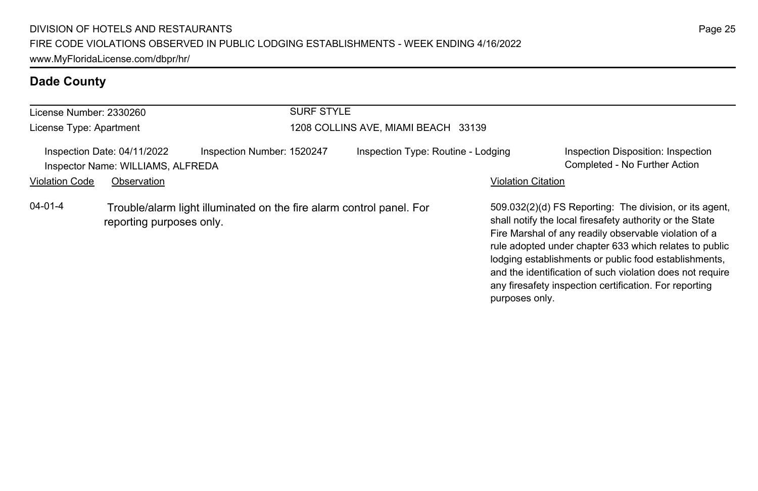| License Number: 2330260 |                                                                  | <b>SURF STYLE</b>                                                    |                                     |                                    |                           |                                                                                                                                                                                                                                                                                                 |  |
|-------------------------|------------------------------------------------------------------|----------------------------------------------------------------------|-------------------------------------|------------------------------------|---------------------------|-------------------------------------------------------------------------------------------------------------------------------------------------------------------------------------------------------------------------------------------------------------------------------------------------|--|
| License Type: Apartment |                                                                  |                                                                      | 1208 COLLINS AVE, MIAMI BEACH 33139 |                                    |                           |                                                                                                                                                                                                                                                                                                 |  |
|                         | Inspection Date: 04/11/2022<br>Inspector Name: WILLIAMS, ALFREDA | Inspection Number: 1520247                                           |                                     | Inspection Type: Routine - Lodging |                           | Inspection Disposition: Inspection<br>Completed - No Further Action                                                                                                                                                                                                                             |  |
| <b>Violation Code</b>   | Observation                                                      |                                                                      |                                     |                                    | <b>Violation Citation</b> |                                                                                                                                                                                                                                                                                                 |  |
| $04 - 01 - 4$           | reporting purposes only.                                         | Trouble/alarm light illuminated on the fire alarm control panel. For |                                     |                                    |                           | 509.032(2)(d) FS Reporting: The division, or its agent.<br>shall notify the local firesafety authority or the State<br>Fire Marshal of any readily observable violation of a<br>rule adopted under chapter 633 which relates to public<br>lodging establishments or public food establishments. |  |

and the identification of such violation does not require any firesafety inspection certification. For reporting

purposes only.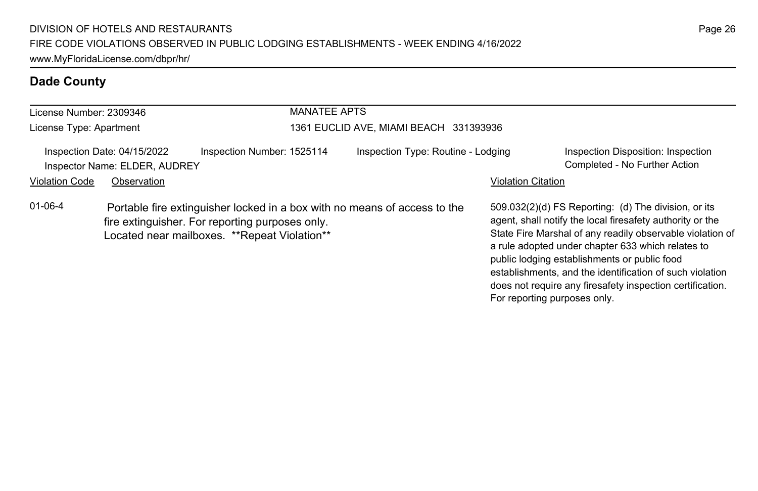| <b>MANATEE APTS</b><br>License Number: 2309346 |                                                              |                                                                                                                                                                              |                                        |                           |                                                                                                                                                                                                                                                                                                                                                                                                                                              |  |  |
|------------------------------------------------|--------------------------------------------------------------|------------------------------------------------------------------------------------------------------------------------------------------------------------------------------|----------------------------------------|---------------------------|----------------------------------------------------------------------------------------------------------------------------------------------------------------------------------------------------------------------------------------------------------------------------------------------------------------------------------------------------------------------------------------------------------------------------------------------|--|--|
| License Type: Apartment                        |                                                              |                                                                                                                                                                              | 1361 EUCLID AVE, MIAMI BEACH 331393936 |                           |                                                                                                                                                                                                                                                                                                                                                                                                                                              |  |  |
|                                                | Inspection Date: 04/15/2022<br>Inspector Name: ELDER, AUDREY | Inspection Number: 1525114                                                                                                                                                   | Inspection Type: Routine - Lodging     |                           | Inspection Disposition: Inspection<br>Completed - No Further Action                                                                                                                                                                                                                                                                                                                                                                          |  |  |
| <b>Violation Code</b>                          | Observation                                                  |                                                                                                                                                                              |                                        | <b>Violation Citation</b> |                                                                                                                                                                                                                                                                                                                                                                                                                                              |  |  |
| $01 - 06 - 4$                                  |                                                              | Portable fire extinguisher locked in a box with no means of access to the<br>fire extinguisher. For reporting purposes only.<br>Located near mailboxes. **Repeat Violation** |                                        |                           | 509.032(2)(d) FS Reporting: (d) The division, or its<br>agent, shall notify the local firesafety authority or the<br>State Fire Marshal of any readily observable violation of<br>a rule adopted under chapter 633 which relates to<br>public lodging establishments or public food<br>establishments, and the identification of such violation<br>does not require any firesafety inspection certification.<br>For reporting purposes only. |  |  |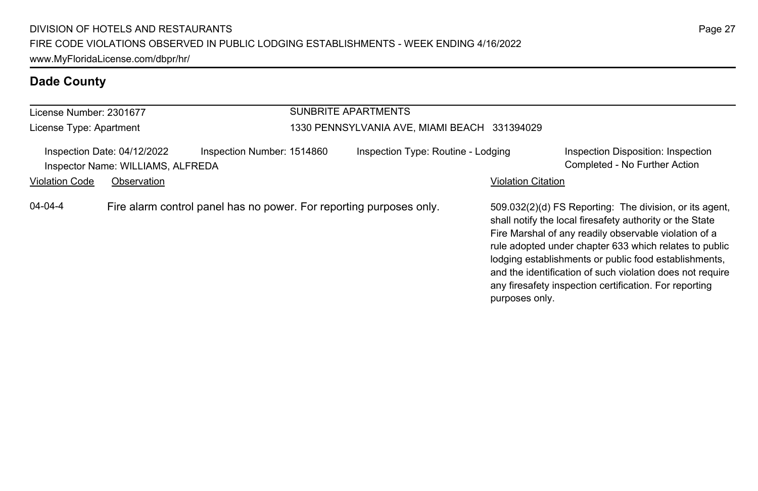| License Number: 2301677 |                                                                  |                                                                     | SUNBRITE APARTMENTS |                                              |                           |                                                                                                                                                                                                                                                                                                                                                                                                                        |
|-------------------------|------------------------------------------------------------------|---------------------------------------------------------------------|---------------------|----------------------------------------------|---------------------------|------------------------------------------------------------------------------------------------------------------------------------------------------------------------------------------------------------------------------------------------------------------------------------------------------------------------------------------------------------------------------------------------------------------------|
| License Type: Apartment |                                                                  |                                                                     |                     | 1330 PENNSYLVANIA AVE, MIAMI BEACH 331394029 |                           |                                                                                                                                                                                                                                                                                                                                                                                                                        |
|                         | Inspection Date: 04/12/2022<br>Inspector Name: WILLIAMS, ALFREDA | Inspection Number: 1514860                                          |                     | Inspection Type: Routine - Lodging           |                           | Inspection Disposition: Inspection<br>Completed - No Further Action                                                                                                                                                                                                                                                                                                                                                    |
| <b>Violation Code</b>   | Observation                                                      |                                                                     |                     |                                              | <b>Violation Citation</b> |                                                                                                                                                                                                                                                                                                                                                                                                                        |
| $04 - 04 - 4$           |                                                                  | Fire alarm control panel has no power. For reporting purposes only. |                     |                                              | purposes only.            | 509.032(2)(d) FS Reporting: The division, or its agent,<br>shall notify the local firesafety authority or the State<br>Fire Marshal of any readily observable violation of a<br>rule adopted under chapter 633 which relates to public<br>lodging establishments or public food establishments,<br>and the identification of such violation does not require<br>any firesafety inspection certification. For reporting |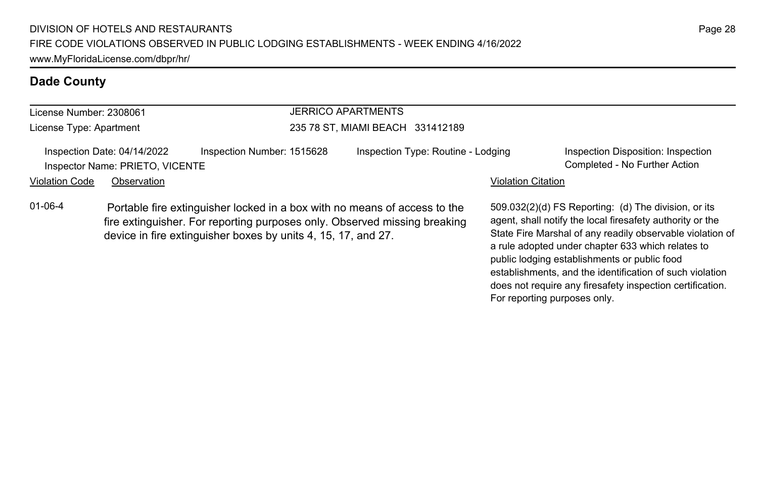| License Number: 2308061                                        |             |                                                                                                                                                                                                                         | <b>JERRICO APARTMENTS</b>          |                           |                                                                                                                                                                             |  |
|----------------------------------------------------------------|-------------|-------------------------------------------------------------------------------------------------------------------------------------------------------------------------------------------------------------------------|------------------------------------|---------------------------|-----------------------------------------------------------------------------------------------------------------------------------------------------------------------------|--|
| License Type: Apartment                                        |             |                                                                                                                                                                                                                         | 235 78 ST. MIAMI BEACH 331412189   |                           |                                                                                                                                                                             |  |
| Inspection Date: 04/14/2022<br>Inspector Name: PRIETO, VICENTE |             | Inspection Number: 1515628                                                                                                                                                                                              | Inspection Type: Routine - Lodging |                           | Inspection Disposition: Inspection<br>Completed - No Further Action                                                                                                         |  |
| Violation Code                                                 | Observation |                                                                                                                                                                                                                         |                                    | <b>Violation Citation</b> |                                                                                                                                                                             |  |
| $01 - 06 - 4$                                                  |             | Portable fire extinguisher locked in a box with no means of access to the<br>fire extinguisher. For reporting purposes only. Observed missing breaking<br>device in fire extinguisher boxes by units 4, 15, 17, and 27. |                                    |                           | 509.032(2)(d) FS Reporting: (d) The division, or its<br>agent, shall notify the local firesafety authority or the<br>State Fire Marshal of any readily observable violation |  |

State Fire Marshal of any readily observable violation of a rule adopted under chapter 633 which relates to public lodging establishments or public food establishments, and the identification of such violation does not require any firesafety inspection certification.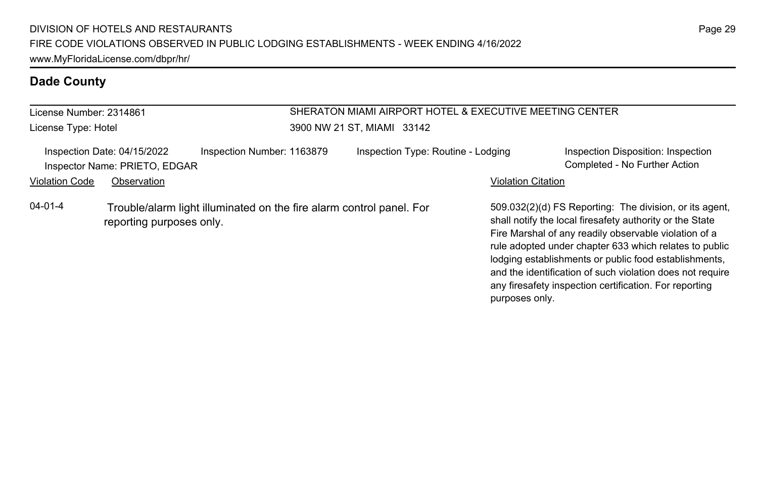| License Number: 2314861<br>License Type: Hotel                                                                    |                                                              |                            | SHERATON MIAMI AIRPORT HOTEL & EXECUTIVE MEETING CENTER<br>3900 NW 21 ST. MIAMI 33142 |                           |                                                                                                                                                                                                                                                                                                 |  |
|-------------------------------------------------------------------------------------------------------------------|--------------------------------------------------------------|----------------------------|---------------------------------------------------------------------------------------|---------------------------|-------------------------------------------------------------------------------------------------------------------------------------------------------------------------------------------------------------------------------------------------------------------------------------------------|--|
|                                                                                                                   | Inspection Date: 04/15/2022<br>Inspector Name: PRIETO, EDGAR | Inspection Number: 1163879 | Inspection Type: Routine - Lodging                                                    |                           | Inspection Disposition: Inspection<br>Completed - No Further Action                                                                                                                                                                                                                             |  |
| <b>Violation Code</b>                                                                                             | Observation                                                  |                            |                                                                                       | <b>Violation Citation</b> |                                                                                                                                                                                                                                                                                                 |  |
| $04 - 01 - 4$<br>Trouble/alarm light illuminated on the fire alarm control panel. For<br>reporting purposes only. |                                                              |                            |                                                                                       |                           | 509.032(2)(d) FS Reporting: The division, or its agent,<br>shall notify the local firesafety authority or the State<br>Fire Marshal of any readily observable violation of a<br>rule adopted under chapter 633 which relates to public<br>lodging establishments or public food establishments. |  |

and the identification of such violation does not require any firesafety inspection certification. For reporting

purposes only.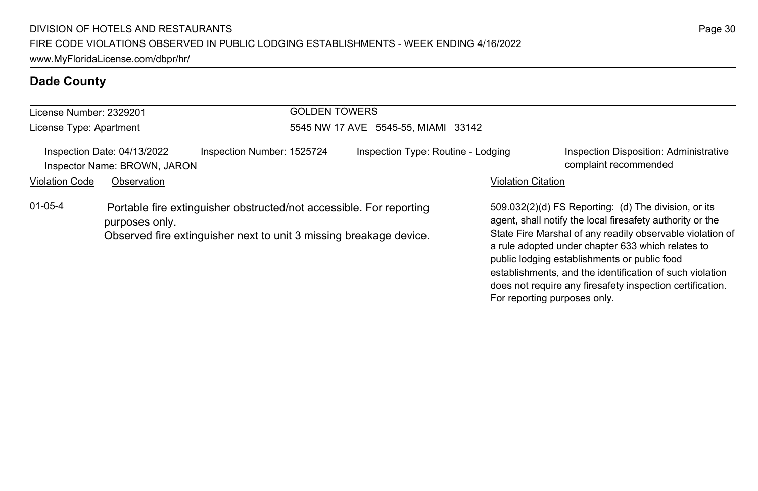| License Number: 2329201                                     |                |                                                                                                                                           | <b>GOLDEN TOWERS</b>                |                           |                                                                                                                                                                                                                                                                                                                                                 |  |
|-------------------------------------------------------------|----------------|-------------------------------------------------------------------------------------------------------------------------------------------|-------------------------------------|---------------------------|-------------------------------------------------------------------------------------------------------------------------------------------------------------------------------------------------------------------------------------------------------------------------------------------------------------------------------------------------|--|
| License Type: Apartment                                     |                |                                                                                                                                           | 5545 NW 17 AVE 5545-55, MIAMI 33142 |                           |                                                                                                                                                                                                                                                                                                                                                 |  |
| Inspection Date: 04/13/2022<br>Inspector Name: BROWN, JARON |                | Inspection Number: 1525724                                                                                                                | Inspection Type: Routine - Lodging  |                           | Inspection Disposition: Administrative<br>complaint recommended                                                                                                                                                                                                                                                                                 |  |
| <b>Violation Code</b>                                       | Observation    |                                                                                                                                           |                                     | <b>Violation Citation</b> |                                                                                                                                                                                                                                                                                                                                                 |  |
| $01 - 05 - 4$                                               | purposes only. | Portable fire extinguisher obstructed/not accessible. For reporting<br>Observed fire extinguisher next to unit 3 missing breakage device. |                                     |                           | 509.032(2)(d) FS Reporting: (d) The division, or its<br>agent, shall notify the local firesafety authority or the<br>State Fire Marshal of any readily observable violation of<br>a rule adopted under chapter 633 which relates to<br>public lodging establishments or public food<br>establishments, and the identification of such violation |  |

does not require any firesafety inspection certification.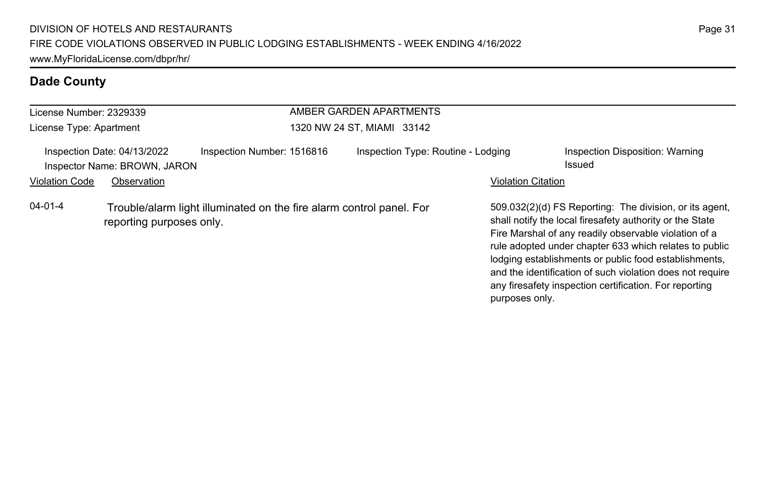| License Number: 2329339<br>License Type: Apartment                                                                |             |                            | AMBER GARDEN APARTMENTS<br>1320 NW 24 ST, MIAMI 33142 |                                                                                                                                                                                                                                                                                                                                                                                                                        |  |  |
|-------------------------------------------------------------------------------------------------------------------|-------------|----------------------------|-------------------------------------------------------|------------------------------------------------------------------------------------------------------------------------------------------------------------------------------------------------------------------------------------------------------------------------------------------------------------------------------------------------------------------------------------------------------------------------|--|--|
|                                                                                                                   |             |                            |                                                       |                                                                                                                                                                                                                                                                                                                                                                                                                        |  |  |
| Inspection Date: 04/13/2022<br>Inspector Name: BROWN, JARON                                                       |             | Inspection Number: 1516816 | Inspection Type: Routine - Lodging                    | Inspection Disposition: Warning<br>Issued                                                                                                                                                                                                                                                                                                                                                                              |  |  |
| <b>Violation Code</b>                                                                                             | Observation |                            |                                                       | <b>Violation Citation</b>                                                                                                                                                                                                                                                                                                                                                                                              |  |  |
| $04 - 01 - 4$<br>Trouble/alarm light illuminated on the fire alarm control panel. For<br>reporting purposes only. |             |                            | purposes only.                                        | 509.032(2)(d) FS Reporting: The division, or its agent,<br>shall notify the local firesafety authority or the State<br>Fire Marshal of any readily observable violation of a<br>rule adopted under chapter 633 which relates to public<br>lodging establishments or public food establishments,<br>and the identification of such violation does not require<br>any firesafety inspection certification. For reporting |  |  |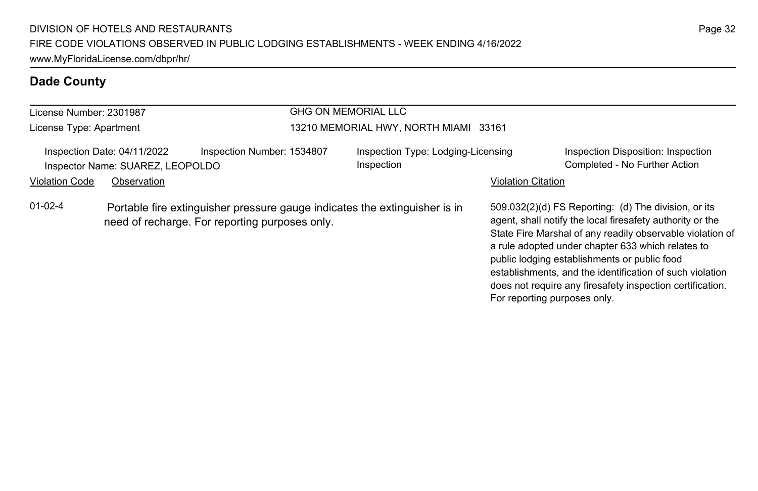| License Number: 2301987                                         |  |                                                                                                                              | GHG ON MEMORIAL LLC                              |                              |                                                                                                                                                                                                                                                                                                                                                                                                              |  |
|-----------------------------------------------------------------|--|------------------------------------------------------------------------------------------------------------------------------|--------------------------------------------------|------------------------------|--------------------------------------------------------------------------------------------------------------------------------------------------------------------------------------------------------------------------------------------------------------------------------------------------------------------------------------------------------------------------------------------------------------|--|
| License Type: Apartment                                         |  |                                                                                                                              | 13210 MEMORIAL HWY, NORTH MIAMI 33161            |                              |                                                                                                                                                                                                                                                                                                                                                                                                              |  |
| Inspection Date: 04/11/2022<br>Inspector Name: SUAREZ, LEOPOLDO |  | Inspection Number: 1534807                                                                                                   | Inspection Type: Lodging-Licensing<br>Inspection |                              | Inspection Disposition: Inspection<br>Completed - No Further Action                                                                                                                                                                                                                                                                                                                                          |  |
| <b>Violation Code</b><br>Observation                            |  |                                                                                                                              |                                                  | <b>Violation Citation</b>    |                                                                                                                                                                                                                                                                                                                                                                                                              |  |
| $01-02-4$                                                       |  | Portable fire extinguisher pressure gauge indicates the extinguisher is in<br>need of recharge. For reporting purposes only. |                                                  | For reporting purposes only. | 509.032(2)(d) FS Reporting: (d) The division, or its<br>agent, shall notify the local firesafety authority or the<br>State Fire Marshal of any readily observable violation of<br>a rule adopted under chapter 633 which relates to<br>public lodging establishments or public food<br>establishments, and the identification of such violation<br>does not require any firesafety inspection certification. |  |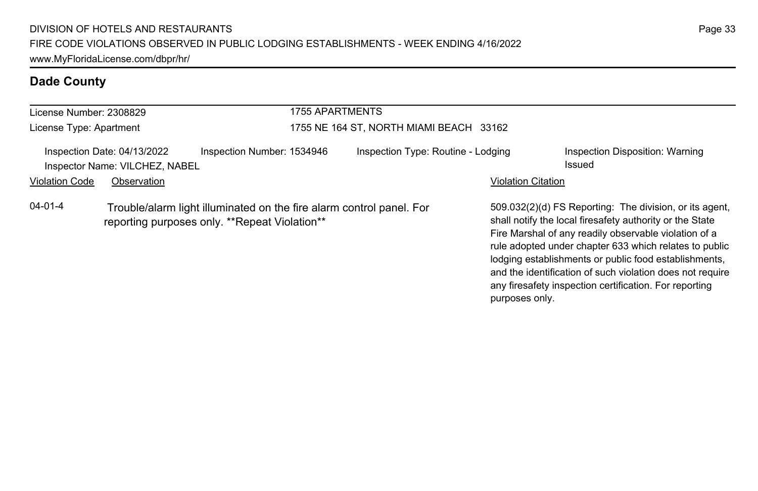| License Number: 2308829                                       |                                                                                                                       |                            | <b>1755 APARTMENTS</b>                  |                           |                                                                                                                                                                                                                                                                                                                                                                                                                        |  |
|---------------------------------------------------------------|-----------------------------------------------------------------------------------------------------------------------|----------------------------|-----------------------------------------|---------------------------|------------------------------------------------------------------------------------------------------------------------------------------------------------------------------------------------------------------------------------------------------------------------------------------------------------------------------------------------------------------------------------------------------------------------|--|
| License Type: Apartment                                       |                                                                                                                       |                            | 1755 NE 164 ST, NORTH MIAMI BEACH 33162 |                           |                                                                                                                                                                                                                                                                                                                                                                                                                        |  |
| Inspection Date: 04/13/2022<br>Inspector Name: VILCHEZ, NABEL |                                                                                                                       | Inspection Number: 1534946 | Inspection Type: Routine - Lodging      |                           | Inspection Disposition: Warning<br>Issued                                                                                                                                                                                                                                                                                                                                                                              |  |
| <b>Violation Code</b><br>Observation                          |                                                                                                                       |                            |                                         | <b>Violation Citation</b> |                                                                                                                                                                                                                                                                                                                                                                                                                        |  |
| $04 - 01 - 4$                                                 | Trouble/alarm light illuminated on the fire alarm control panel. For<br>reporting purposes only. **Repeat Violation** |                            |                                         | purposes only.            | 509.032(2)(d) FS Reporting: The division, or its agent.<br>shall notify the local firesafety authority or the State<br>Fire Marshal of any readily observable violation of a<br>rule adopted under chapter 633 which relates to public<br>lodging establishments or public food establishments,<br>and the identification of such violation does not require<br>any firesafety inspection certification. For reporting |  |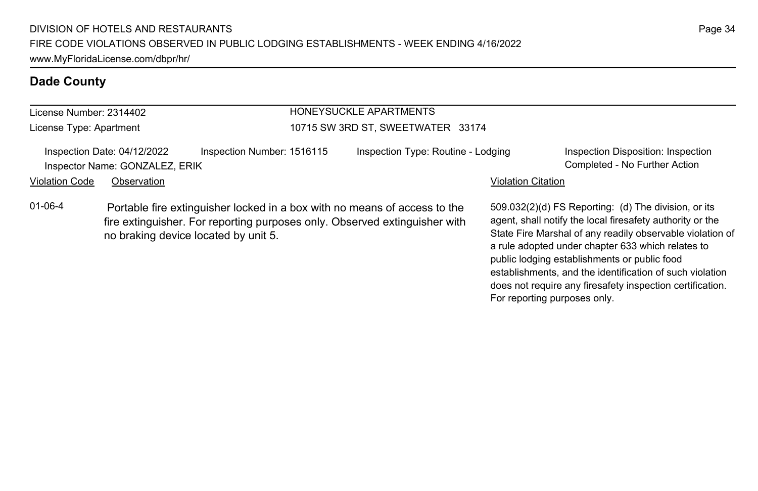#### License Number: 2314402

License Type: Apartment

#### HONEYSUCKLE APARTMENTS 10715 SW 3RD ST, SWEETWATER 33174

#### Inspection Date: 04/12/2022 Inspection Number: 1516115 Inspection Type: Routine - Lodging Inspection Disposition: Inspection Inspector Name: GONZALEZ, ERIK Completed - No Further Action

#### Violation Code Observation **Violation Code** Observation **Violation** Violation Citation Citation Citation Citation

01-06-4 Portable fire extinguisher locked in a box with no means of access to the fire extinguisher. For reporting purposes only. Observed extinguisher with no braking device located by unit 5.

509.032(2)(d) FS Reporting: (d) The division, or its agent, shall notify the local firesafety authority or the State Fire Marshal of any readily observable violation of a rule adopted under chapter 633 which relates to public lodging establishments or public food establishments, and the identification of such violation does not require any firesafety inspection certification. For reporting purposes only.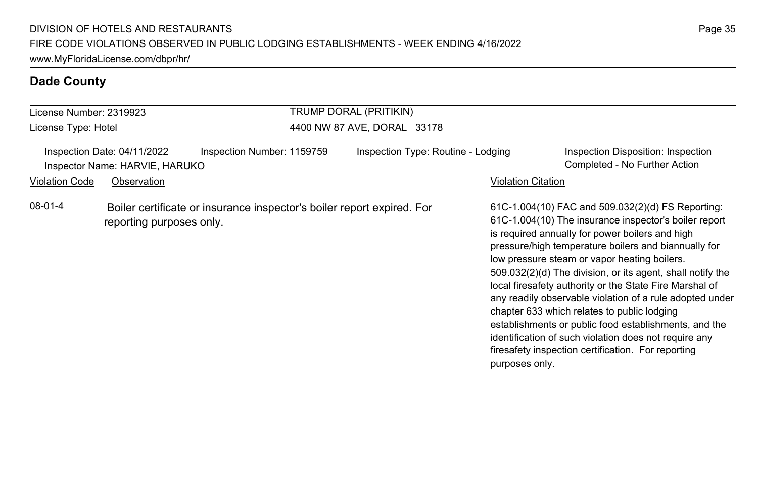| License Number: 2319923                                                                                       |             |                            | TRUMP DORAL (PRITIKIN)             |                           |                                                                                                                                                                                                                                                                                                                                                                                                                                                                                                                                                                                                                                                                                   |  |
|---------------------------------------------------------------------------------------------------------------|-------------|----------------------------|------------------------------------|---------------------------|-----------------------------------------------------------------------------------------------------------------------------------------------------------------------------------------------------------------------------------------------------------------------------------------------------------------------------------------------------------------------------------------------------------------------------------------------------------------------------------------------------------------------------------------------------------------------------------------------------------------------------------------------------------------------------------|--|
| License Type: Hotel                                                                                           |             |                            | 4400 NW 87 AVE, DORAL 33178        |                           |                                                                                                                                                                                                                                                                                                                                                                                                                                                                                                                                                                                                                                                                                   |  |
| Inspection Date: 04/11/2022<br>Inspector Name: HARVIE, HARUKO                                                 |             | Inspection Number: 1159759 | Inspection Type: Routine - Lodging |                           | Inspection Disposition: Inspection<br>Completed - No Further Action                                                                                                                                                                                                                                                                                                                                                                                                                                                                                                                                                                                                               |  |
| <b>Violation Code</b>                                                                                         | Observation |                            |                                    | <b>Violation Citation</b> |                                                                                                                                                                                                                                                                                                                                                                                                                                                                                                                                                                                                                                                                                   |  |
| 08-01-4<br>Boiler certificate or insurance inspector's boiler report expired. For<br>reporting purposes only. |             |                            |                                    | purposes only.            | 61C-1.004(10) FAC and 509.032(2)(d) FS Reporting:<br>61C-1.004(10) The insurance inspector's boiler report<br>is required annually for power boilers and high<br>pressure/high temperature boilers and biannually for<br>low pressure steam or vapor heating boilers.<br>509.032(2)(d) The division, or its agent, shall notify the<br>local firesafety authority or the State Fire Marshal of<br>any readily observable violation of a rule adopted under<br>chapter 633 which relates to public lodging<br>establishments or public food establishments, and the<br>identification of such violation does not require any<br>firesafety inspection certification. For reporting |  |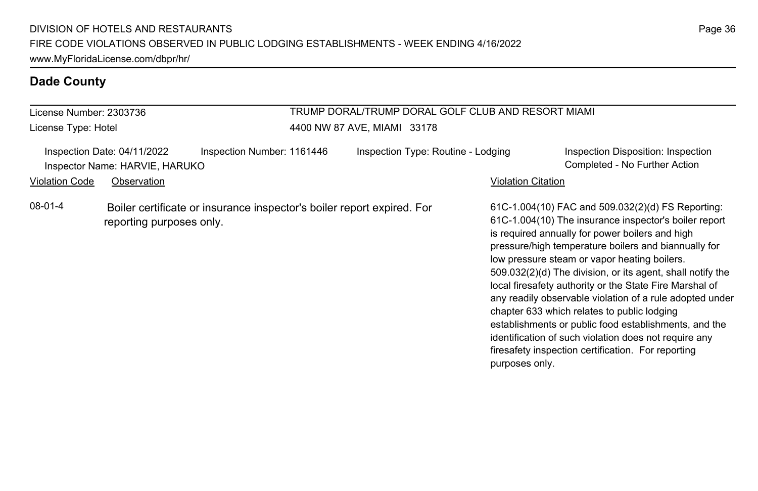| License Number: 2303736<br>License Type: Hotel                                                                                         |             |                            | TRUMP DORAL/TRUMP DORAL GOLF CLUB AND RESORT MIAMI<br>4400 NW 87 AVE, MIAMI 33178 |                           |                                                                                                                                                                                                                                                                                                                                                                                                                                                                                                                                                                                                                                                                                   |  |
|----------------------------------------------------------------------------------------------------------------------------------------|-------------|----------------------------|-----------------------------------------------------------------------------------|---------------------------|-----------------------------------------------------------------------------------------------------------------------------------------------------------------------------------------------------------------------------------------------------------------------------------------------------------------------------------------------------------------------------------------------------------------------------------------------------------------------------------------------------------------------------------------------------------------------------------------------------------------------------------------------------------------------------------|--|
| Inspection Date: 04/11/2022<br>Inspector Name: HARVIE, HARUKO                                                                          |             | Inspection Number: 1161446 | Inspection Type: Routine - Lodging                                                |                           | Inspection Disposition: Inspection<br>Completed - No Further Action                                                                                                                                                                                                                                                                                                                                                                                                                                                                                                                                                                                                               |  |
|                                                                                                                                        | Observation |                            |                                                                                   | <b>Violation Citation</b> |                                                                                                                                                                                                                                                                                                                                                                                                                                                                                                                                                                                                                                                                                   |  |
| <b>Violation Code</b><br>08-01-4<br>Boiler certificate or insurance inspector's boiler report expired. For<br>reporting purposes only. |             |                            |                                                                                   | purposes only.            | 61C-1.004(10) FAC and 509.032(2)(d) FS Reporting:<br>61C-1.004(10) The insurance inspector's boiler report<br>is required annually for power boilers and high<br>pressure/high temperature boilers and biannually for<br>low pressure steam or vapor heating boilers.<br>509.032(2)(d) The division, or its agent, shall notify the<br>local firesafety authority or the State Fire Marshal of<br>any readily observable violation of a rule adopted under<br>chapter 633 which relates to public lodging<br>establishments or public food establishments, and the<br>identification of such violation does not require any<br>firesafety inspection certification. For reporting |  |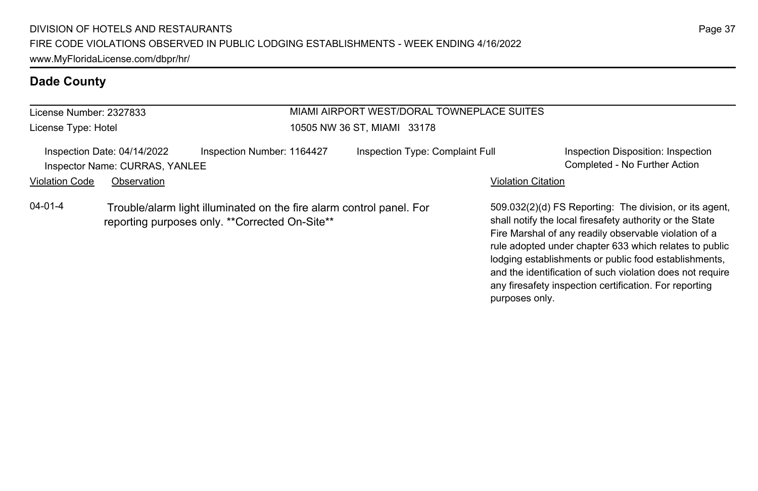# **Dade County**

| License Number: 2327833                                                                                                           |                                                               |                            | MIAMI AIRPORT WEST/DORAL TOWNEPLACE SUITES |                                                                                                                                                                              |                                                                     |  |
|-----------------------------------------------------------------------------------------------------------------------------------|---------------------------------------------------------------|----------------------------|--------------------------------------------|------------------------------------------------------------------------------------------------------------------------------------------------------------------------------|---------------------------------------------------------------------|--|
| License Type: Hotel                                                                                                               |                                                               |                            | 10505 NW 36 ST, MIAMI 33178                |                                                                                                                                                                              |                                                                     |  |
|                                                                                                                                   | Inspection Date: 04/14/2022<br>Inspector Name: CURRAS, YANLEE | Inspection Number: 1164427 | Inspection Type: Complaint Full            |                                                                                                                                                                              | Inspection Disposition: Inspection<br>Completed - No Further Action |  |
| Violation Code                                                                                                                    | Observation                                                   |                            |                                            | <b>Violation Citation</b>                                                                                                                                                    |                                                                     |  |
| 04-01-4<br>Trouble/alarm light illuminated on the fire alarm control panel. For<br>reporting purposes only. **Corrected On-Site** |                                                               |                            |                                            | 509.032(2)(d) FS Reporting: The division, or its agent,<br>shall notify the local firesafety authority or the State<br>Fire Marshal of any readily observable violation of a |                                                                     |  |

rule adopted under chapter 633 which relates to public lodging establishments or public food establishments, and the identification of such violation does not require any firesafety inspection certification. For reporting

purposes only.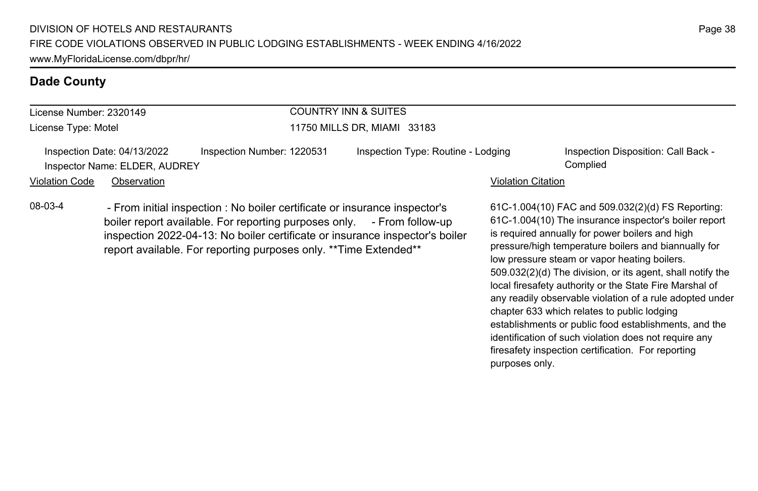## **Dade County**

| License Number: 2320149       | <b>COUNTRY INN &amp; SUITES</b> |                                    |                                                 |  |  |
|-------------------------------|---------------------------------|------------------------------------|-------------------------------------------------|--|--|
| License Type: Motel           |                                 | 11750 MILLS DR. MIAMI 33183        |                                                 |  |  |
| Inspection Date: 04/13/2022   | Inspection Number: 1220531      | Inspection Type: Routine - Lodging | Inspection Disposition: Call Back -<br>Complied |  |  |
| Inspector Name: ELDER, AUDREY |                                 |                                    |                                                 |  |  |
| Violation Code<br>Observation |                                 | Violation Citation                 |                                                 |  |  |

08-03-4 - From initial inspection : No boiler certificate or insurance inspector's boiler report available. For reporting purposes only. - From follow-up inspection 2022-04-13: No boiler certificate or insurance inspector's boiler report available. For reporting purposes only. \*\*Time Extended\*\*

61C-1.004(10) FAC and 509.032(2)(d) FS Reporting: 61C-1.004(10) The insurance inspector's boiler report is required annually for power boilers and high pressure/high temperature boilers and biannually for low pressure steam or vapor heating boilers. 509.032(2)(d) The division, or its agent, shall notify the local firesafety authority or the State Fire Marshal of any readily observable violation of a rule adopted under chapter 633 which relates to public lodging establishments or public food establishments, and the identification of such violation does not require any firesafety inspection certification. For reporting purposes only.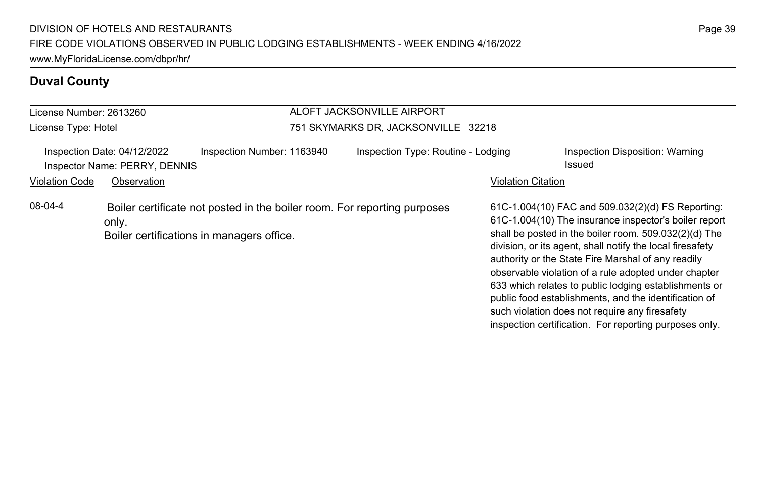# **Duval County**

| License Number: 2613260 |                                                              |                                                                                                                       | ALOFT JACKSONVILLE AIRPORT          |                           |                                                                                                                                                                                                                                                                                                                                                                                                                                                                  |
|-------------------------|--------------------------------------------------------------|-----------------------------------------------------------------------------------------------------------------------|-------------------------------------|---------------------------|------------------------------------------------------------------------------------------------------------------------------------------------------------------------------------------------------------------------------------------------------------------------------------------------------------------------------------------------------------------------------------------------------------------------------------------------------------------|
| License Type: Hotel     |                                                              |                                                                                                                       | 751 SKYMARKS DR, JACKSONVILLE 32218 |                           |                                                                                                                                                                                                                                                                                                                                                                                                                                                                  |
|                         | Inspection Date: 04/12/2022<br>Inspector Name: PERRY, DENNIS | Inspection Number: 1163940                                                                                            | Inspection Type: Routine - Lodging  |                           | Inspection Disposition: Warning<br>Issued                                                                                                                                                                                                                                                                                                                                                                                                                        |
| <b>Violation Code</b>   | Observation                                                  |                                                                                                                       |                                     | <b>Violation Citation</b> |                                                                                                                                                                                                                                                                                                                                                                                                                                                                  |
| 08-04-4                 | only.                                                        | Boiler certificate not posted in the boiler room. For reporting purposes<br>Boiler certifications in managers office. |                                     |                           | 61C-1.004(10) FAC and 509.032(2)(d) FS Reporting:<br>61C-1.004(10) The insurance inspector's boiler report<br>shall be posted in the boiler room. 509.032(2)(d) The<br>division, or its agent, shall notify the local firesafety<br>authority or the State Fire Marshal of any readily<br>observable violation of a rule adopted under chapter<br>633 which relates to public lodging establishments or<br>public food establishments, and the identification of |

such violation does not require any firesafety inspection certification. For reporting purposes only.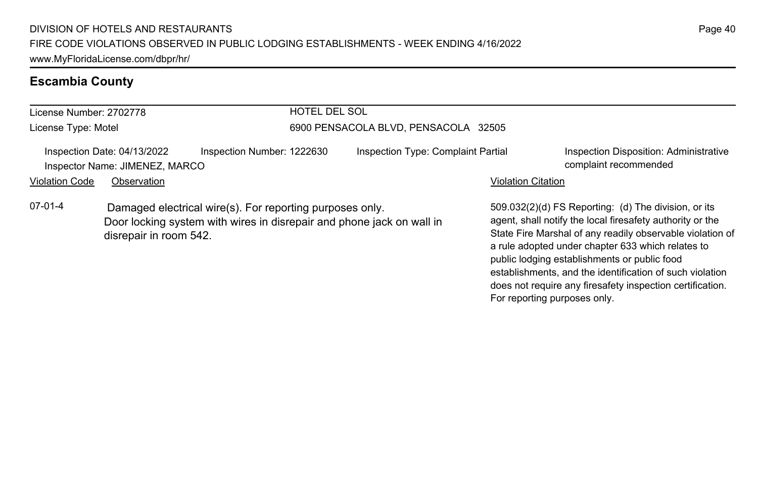# **Escambia County**

| License Number: 2702778                                                                                                                                                  |             |                            | <b>HOTEL DEL SOL</b>                 |                                                                                                                                                                                                                                                                                                                                                 |                                                                 |  |
|--------------------------------------------------------------------------------------------------------------------------------------------------------------------------|-------------|----------------------------|--------------------------------------|-------------------------------------------------------------------------------------------------------------------------------------------------------------------------------------------------------------------------------------------------------------------------------------------------------------------------------------------------|-----------------------------------------------------------------|--|
| License Type: Motel                                                                                                                                                      |             |                            | 6900 PENSACOLA BLVD, PENSACOLA 32505 |                                                                                                                                                                                                                                                                                                                                                 |                                                                 |  |
| Inspection Date: 04/13/2022<br>Inspector Name: JIMENEZ, MARCO                                                                                                            |             | Inspection Number: 1222630 | Inspection Type: Complaint Partial   |                                                                                                                                                                                                                                                                                                                                                 | Inspection Disposition: Administrative<br>complaint recommended |  |
| <b>Violation Code</b>                                                                                                                                                    | Observation |                            |                                      | <b>Violation Citation</b>                                                                                                                                                                                                                                                                                                                       |                                                                 |  |
| $07-01-4$<br>Damaged electrical wire(s). For reporting purposes only.<br>Door locking system with wires in disrepair and phone jack on wall in<br>disrepair in room 542. |             |                            |                                      | 509.032(2)(d) FS Reporting: (d) The division, or its<br>agent, shall notify the local firesafety authority or the<br>State Fire Marshal of any readily observable violation of<br>a rule adopted under chapter 633 which relates to<br>public lodging establishments or public food<br>establishments, and the identification of such violation |                                                                 |  |

does not require any firesafety inspection certification.

For reporting purposes only.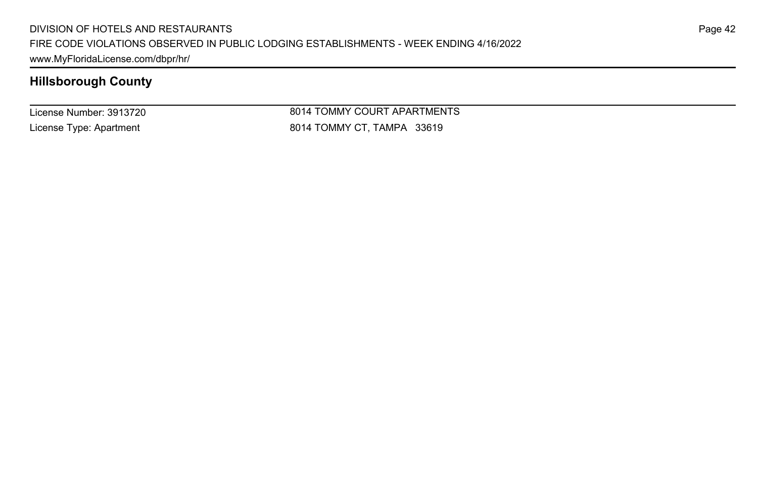License Number: 3913720 License Type: Apartment

8014 TOMMY COURT APARTMENTS 8014 TOMMY CT, TAMPA 33619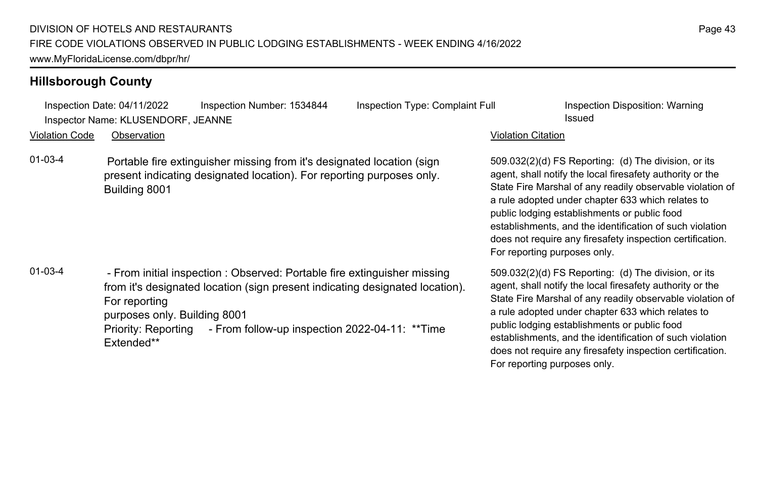|                       | Inspection Date: 04/11/2022                                 | Inspection Number: 1534844                                                                                                                                                                                                      | Inspection Type: Complaint Full | Inspection Disposition: Warning                                                                                                                                                                                                                                                                                                                                                                                                              |
|-----------------------|-------------------------------------------------------------|---------------------------------------------------------------------------------------------------------------------------------------------------------------------------------------------------------------------------------|---------------------------------|----------------------------------------------------------------------------------------------------------------------------------------------------------------------------------------------------------------------------------------------------------------------------------------------------------------------------------------------------------------------------------------------------------------------------------------------|
|                       | Inspector Name: KLUSENDORF, JEANNE                          |                                                                                                                                                                                                                                 |                                 | Issued                                                                                                                                                                                                                                                                                                                                                                                                                                       |
| <b>Violation Code</b> | Observation                                                 |                                                                                                                                                                                                                                 |                                 | <b>Violation Citation</b>                                                                                                                                                                                                                                                                                                                                                                                                                    |
| $01-03-4$             | Building 8001                                               | Portable fire extinguisher missing from it's designated location (sign<br>present indicating designated location). For reporting purposes only.                                                                                 |                                 | 509.032(2)(d) FS Reporting: (d) The division, or its<br>agent, shall notify the local firesafety authority or the<br>State Fire Marshal of any readily observable violation of<br>a rule adopted under chapter 633 which relates to<br>public lodging establishments or public food<br>establishments, and the identification of such violation<br>does not require any firesafety inspection certification.<br>For reporting purposes only. |
| $01-03-4$             | For reporting<br>purposes only. Building 8001<br>Extended** | - From initial inspection : Observed: Portable fire extinguisher missing<br>from it's designated location (sign present indicating designated location).<br>Priority: Reporting - From follow-up inspection 2022-04-11: ** Time |                                 | 509.032(2)(d) FS Reporting: (d) The division, or its<br>agent, shall notify the local firesafety authority or the<br>State Fire Marshal of any readily observable violation of<br>a rule adopted under chapter 633 which relates to<br>public lodging establishments or public food<br>establishments, and the identification of such violation<br>does not require any firesafety inspection certification.<br>For reporting purposes only. |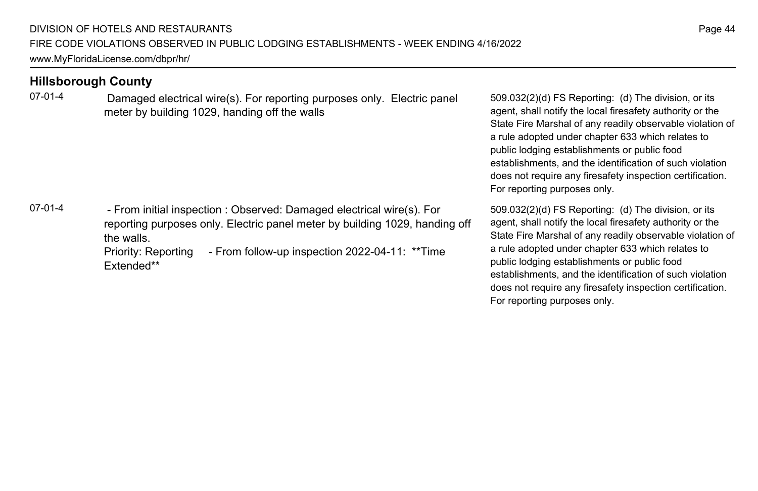07-01-4 Damaged electrical wire(s). For reporting purposes only. Electric panel meter by building 1029, handing off the walls

07-01-4 - From initial inspection : Observed: Damaged electrical wire(s). For reporting purposes only. Electric panel meter by building 1029, handing off the walls. Priority: Reporting - From follow-up inspection 2022-04-11: \*\*Time Extended\*\*

509.032(2)(d) FS Reporting: (d) The division, or its agent, shall notify the local firesafety authority or the State Fire Marshal of any readily observable violation of a rule adopted under chapter 633 which relates to public lodging establishments or public food establishments, and the identification of such violation does not require any firesafety inspection certification. For reporting purposes only.

509.032(2)(d) FS Reporting: (d) The division, or its agent, shall notify the local firesafety authority or the State Fire Marshal of any readily observable violation of a rule adopted under chapter 633 which relates to public lodging establishments or public food establishments, and the identification of such violation does not require any firesafety inspection certification. For reporting purposes only.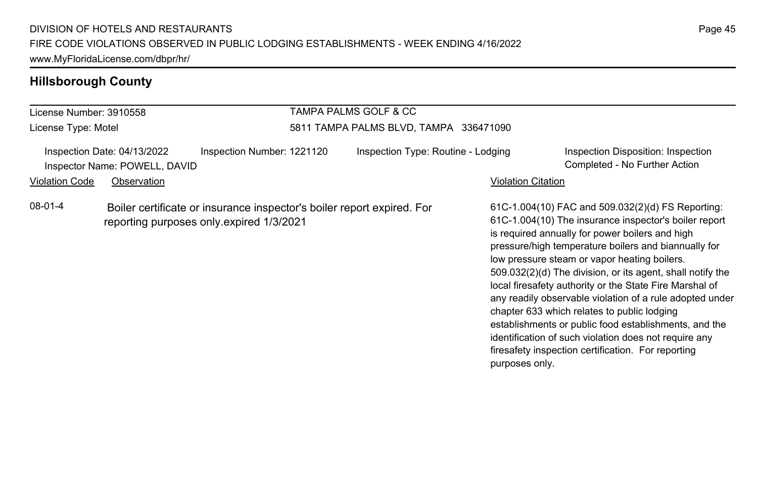#### License Number: 3910558 License Type: Motel TAMPA PALMS GOLF & CC 5811 TAMPA PALMS BLVD, TAMPA 336471090 Inspection Date: 04/13/2022 Inspection Number: 1221120 Inspection Type: Routine - Lodging Inspection Disposition: Inspection Inspector Name: POWELL, DAVID Completed - No Further Action Violation Code Observation **Violation Code** Observation **Violation** Violation Citation Citation Citation Citation 61C-1.004(10) FAC and 509.032(2)(d) FS Reporting: 61C-1.004(10) The insurance inspector's boiler report is required annually for power boilers and high pressure/high temperature boilers and biannually for low pressure steam or vapor heating boilers. 509.032(2)(d) The division, or its agent, shall notify the local firesafety authority or the State Fire Marshal of any readily observable violation of a rule adopted under chapter 633 which relates to public lodging establishments or public food establishments, and the identification of such violation does not require any firesafety inspection certification. For reporting purposes only. 08-01-4 Boiler certificate or insurance inspector's boiler report expired. For reporting purposes only.expired 1/3/2021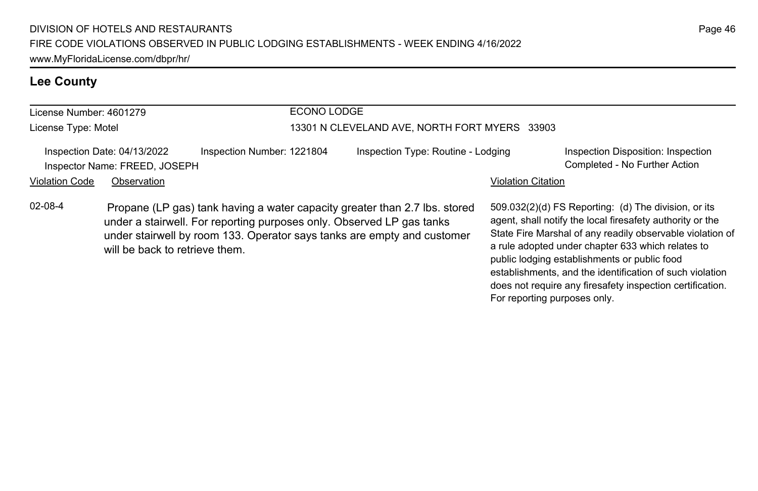# **Lee County**

| License Number: 4601279 |                                                              | ECONO LODGE                                                                                                                                                                                                                    |                                               |                           |                                                                                                                                                                                                                                                                                                                                                 |  |
|-------------------------|--------------------------------------------------------------|--------------------------------------------------------------------------------------------------------------------------------------------------------------------------------------------------------------------------------|-----------------------------------------------|---------------------------|-------------------------------------------------------------------------------------------------------------------------------------------------------------------------------------------------------------------------------------------------------------------------------------------------------------------------------------------------|--|
| License Type: Motel     |                                                              |                                                                                                                                                                                                                                | 13301 N CLEVELAND AVE, NORTH FORT MYERS 33903 |                           |                                                                                                                                                                                                                                                                                                                                                 |  |
|                         | Inspection Date: 04/13/2022<br>Inspector Name: FREED, JOSEPH | Inspection Number: 1221804                                                                                                                                                                                                     | Inspection Type: Routine - Lodging            |                           | Inspection Disposition: Inspection<br>Completed - No Further Action                                                                                                                                                                                                                                                                             |  |
| <b>Violation Code</b>   | Observation                                                  |                                                                                                                                                                                                                                |                                               | <b>Violation Citation</b> |                                                                                                                                                                                                                                                                                                                                                 |  |
| $02 - 08 - 4$           | will be back to retrieve them.                               | Propane (LP gas) tank having a water capacity greater than 2.7 lbs. stored<br>under a stairwell. For reporting purposes only. Observed LP gas tanks<br>under stairwell by room 133. Operator says tanks are empty and customer |                                               |                           | 509.032(2)(d) FS Reporting: (d) The division, or its<br>agent, shall notify the local firesafety authority or the<br>State Fire Marshal of any readily observable violation of<br>a rule adopted under chapter 633 which relates to<br>public lodging establishments or public food<br>establishments, and the identification of such violation |  |

does not require any firesafety inspection certification.

For reporting purposes only.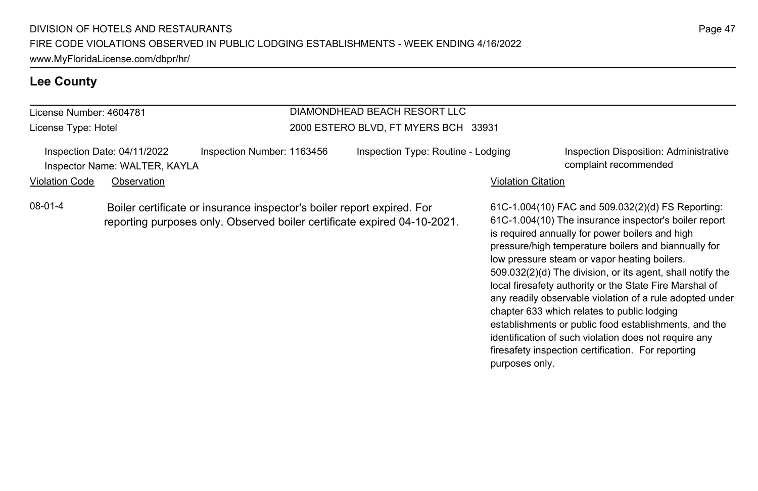### **Lee County**

# License Number: 4604781

License Type: Hotel

## DIAMONDHEAD BEACH RESORT LLC 2000 ESTERO BLVD, FT MYERS BCH 33931

Inspection Date: 04/11/2022 Inspection Number: 1163456 Inspection Type: Routine - Lodging Inspection Disposition: Administrative Inspector Name: WALTER, KAYLA complaint recommended

#### Violation Code Observation **Violation Code** Observation **Violation** Violation Citation Citation Citation Citation

08-01-4 Boiler certificate or insurance inspector's boiler report expired. For reporting purposes only. Observed boiler certificate expired 04-10-2021.

61C-1.004(10) FAC and 509.032(2)(d) FS Reporting: 61C-1.004(10) The insurance inspector's boiler report is required annually for power boilers and high pressure/high temperature boilers and biannually for low pressure steam or vapor heating boilers. 509.032(2)(d) The division, or its agent, shall notify the local firesafety authority or the State Fire Marshal of any readily observable violation of a rule adopted under chapter 633 which relates to public lodging establishments or public food establishments, and the identification of such violation does not require any firesafety inspection certification. For reporting purposes only.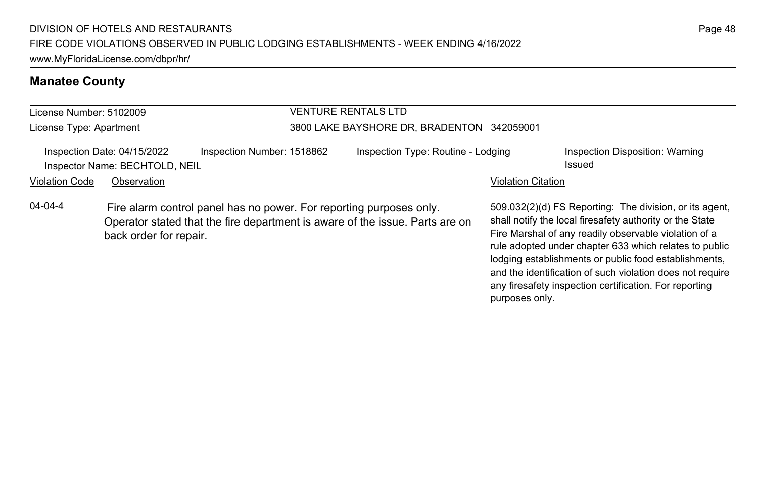| License Number: 5102009 |                                                               |                                                                                                                                                     | VENTURE RENTALS LTD                        |                           |                                                                                                                                                                                                                                                                                                 |  |
|-------------------------|---------------------------------------------------------------|-----------------------------------------------------------------------------------------------------------------------------------------------------|--------------------------------------------|---------------------------|-------------------------------------------------------------------------------------------------------------------------------------------------------------------------------------------------------------------------------------------------------------------------------------------------|--|
| License Type: Apartment |                                                               |                                                                                                                                                     | 3800 LAKE BAYSHORE DR, BRADENTON 342059001 |                           |                                                                                                                                                                                                                                                                                                 |  |
|                         | Inspection Date: 04/15/2022<br>Inspector Name: BECHTOLD, NEIL | Inspection Number: 1518862                                                                                                                          | Inspection Type: Routine - Lodging         |                           | Inspection Disposition: Warning<br>Issued                                                                                                                                                                                                                                                       |  |
| <b>Violation Code</b>   | Observation                                                   |                                                                                                                                                     |                                            | <b>Violation Citation</b> |                                                                                                                                                                                                                                                                                                 |  |
| $04 - 04 - 4$           | back order for repair.                                        | Fire alarm control panel has no power. For reporting purposes only.<br>Operator stated that the fire department is aware of the issue. Parts are on |                                            |                           | 509.032(2)(d) FS Reporting: The division, or its agent.<br>shall notify the local firesafety authority or the State<br>Fire Marshal of any readily observable violation of a<br>rule adopted under chapter 633 which relates to public<br>lodging establishments or public food establishments, |  |

and the identification of such violation does not require any firesafety inspection certification. For reporting

purposes only.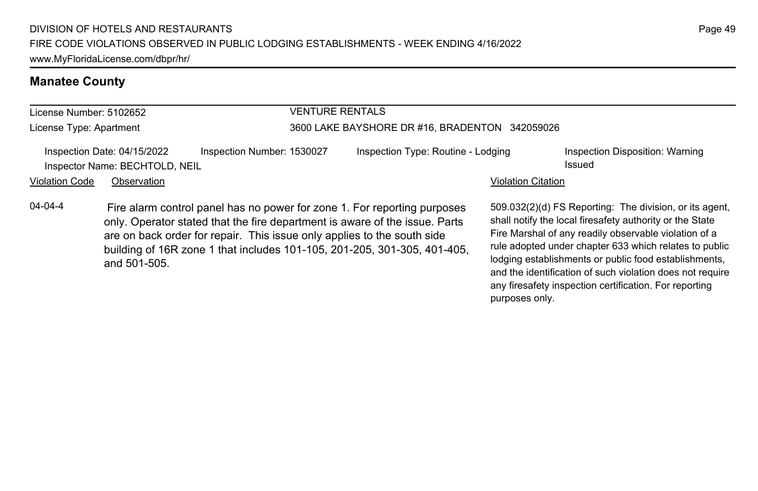#### License Number: 5102652 License Type: Apartment VENTURE RENTALS 3600 LAKE BAYSHORE DR #16, BRADENTON 342059026 Inspection Date: 04/15/2022 Inspection Number: 1530027 Inspection Type: Routine - Lodging Inspection Disposition: Warning Inspector Name: BECHTOLD, NEIL **Issued** and *Issued* issued Violation Code Observation **Violation Code** Observation **Violation** Violation Citation Citation Citation Citation 509.032(2)(d) FS Reporting: The division, or its agent, shall notify the local firesafety authority or the State Fire Marshal of any readily observable violation of a rule adopted under chapter 633 which relates to public lodging establishments or public food establishments, 04-04-4 Fire alarm control panel has no power for zone 1. For reporting purposes only. Operator stated that the fire department is aware of the issue. Parts are on back order for repair. This issue only applies to the south side building of 16R zone 1 that includes 101-105, 201-205, 301-305, 401-405, and 501-505.

Page 49

and the identification of such violation does not require any firesafety inspection certification. For reporting

purposes only.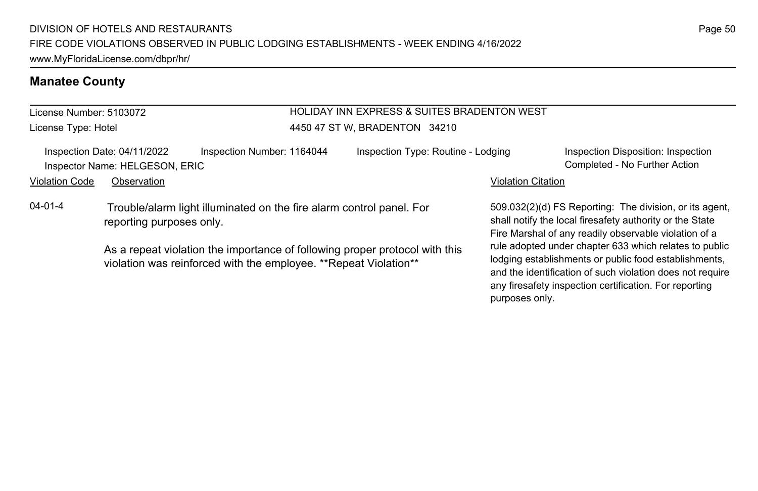License Number: 5103072 License Type: Hotel

#### HOLIDAY INN EXPRESS & SUITES BRADENTON WEST 4450 47 ST W, BRADENTON 34210

Inspection Date: 04/11/2022 Inspection Number: 1164044 Inspection Type: Routine - Lodging Inspection Disposition: Inspection Inspector Name: HELGESON, ERIC Completed - No Further Action

Violation Code Observation **Violation Code** Observation **Violation** Violation Citation Citation Citation Citation

04-01-4 Trouble/alarm light illuminated on the fire alarm control panel. For reporting purposes only.

> As a repeat violation the importance of following proper protocol with this violation was reinforced with the employee. \*\*Repeat Violation\*\*

509.032(2)(d) FS Reporting: The division, or its agent, shall notify the local firesafety authority or the State Fire Marshal of any readily observable violation of a rule adopted under chapter 633 which relates to public lodging establishments or public food establishments, and the identification of such violation does not require any firesafety inspection certification. For reporting purposes only.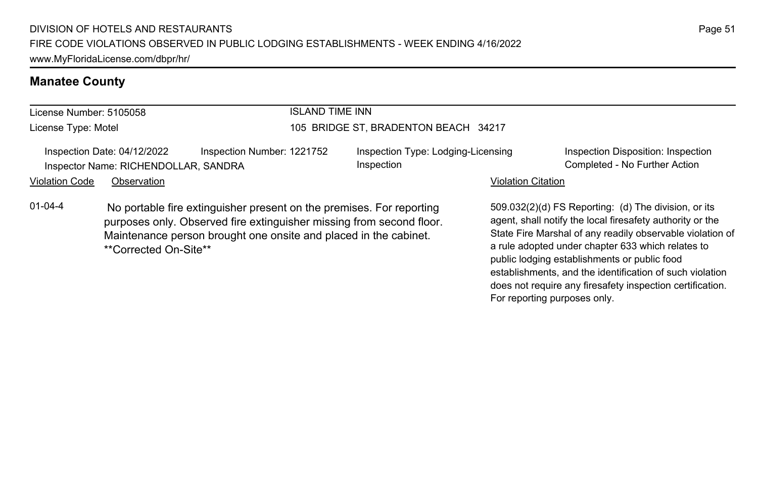# License Number: 5105058

License Type: Motel

### ISLAND TIME INN

#### 105 BRIDGE ST, BRADENTON BEACH 34217

Inspection Date: 04/12/2022 Inspection Number: 1221752 Inspection Type: Lodging-Licensing Inspector Name: RICHENDOLLAR, SANDRA Completed - No Further Action Completed - No Further Action

Inspection

Inspection Disposition: Inspection

#### Violation Code Observation **Violation Code** Observation **Violation** Violation Citation Citation Citation Citation

01-04-4 No portable fire extinguisher present on the premises. For reporting purposes only. Observed fire extinguisher missing from second floor. Maintenance person brought one onsite and placed in the cabinet. \*\*Corrected On-Site\*\*

509.032(2)(d) FS Reporting: (d) The division, or its agent, shall notify the local firesafety authority or the State Fire Marshal of any readily observable violation of a rule adopted under chapter 633 which relates to public lodging establishments or public food establishments, and the identification of such violation does not require any firesafety inspection certification. For reporting purposes only.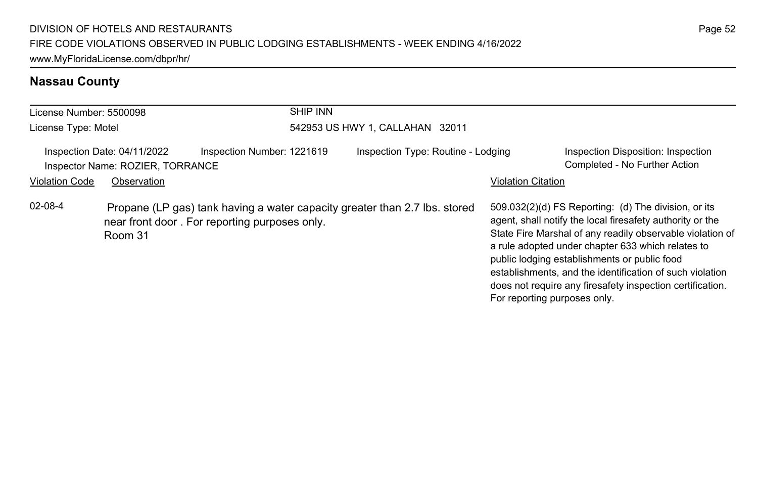# **Nassau County**

| License Number: 5500098 |                                                                                | <b>SHIP INN</b>                                                                                                             |                                    |                              |                                                                                                                                                                                                                                                                                                                                                                                                              |  |  |
|-------------------------|--------------------------------------------------------------------------------|-----------------------------------------------------------------------------------------------------------------------------|------------------------------------|------------------------------|--------------------------------------------------------------------------------------------------------------------------------------------------------------------------------------------------------------------------------------------------------------------------------------------------------------------------------------------------------------------------------------------------------------|--|--|
| License Type: Motel     |                                                                                |                                                                                                                             | 542953 US HWY 1, CALLAHAN 32011    |                              |                                                                                                                                                                                                                                                                                                                                                                                                              |  |  |
| <b>Violation Code</b>   | Inspection Date: 04/11/2022<br>Inspector Name: ROZIER, TORRANCE<br>Observation | Inspection Number: 1221619                                                                                                  | Inspection Type: Routine - Lodging | <b>Violation Citation</b>    | Inspection Disposition: Inspection<br>Completed - No Further Action                                                                                                                                                                                                                                                                                                                                          |  |  |
| $02 - 08 - 4$           | Room 31                                                                        | Propane (LP gas) tank having a water capacity greater than 2.7 lbs. stored<br>near front door. For reporting purposes only. |                                    | For reporting purposes only. | 509.032(2)(d) FS Reporting: (d) The division, or its<br>agent, shall notify the local firesafety authority or the<br>State Fire Marshal of any readily observable violation of<br>a rule adopted under chapter 633 which relates to<br>public lodging establishments or public food<br>establishments, and the identification of such violation<br>does not require any firesafety inspection certification. |  |  |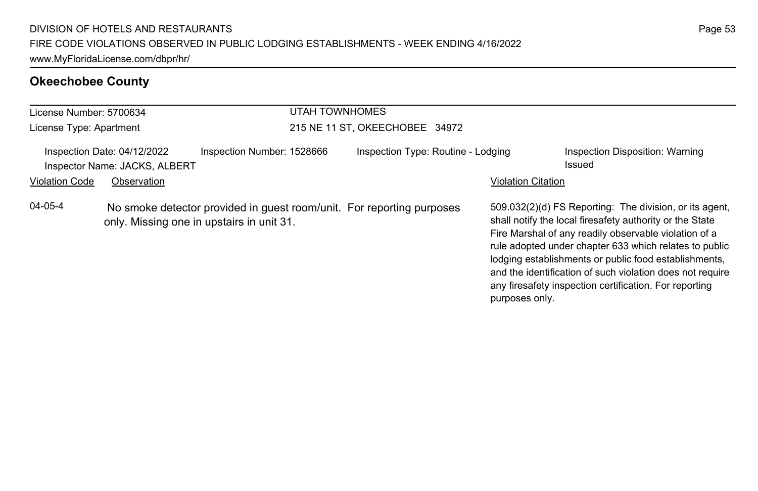# **Okeechobee County**

| License Number: 5700634 |                                                              |                                                                                                                    | UTAH TOWNHOMES |                                    |                           |                                                                                                                                                                                                                                                                                                                                                                                                                        |
|-------------------------|--------------------------------------------------------------|--------------------------------------------------------------------------------------------------------------------|----------------|------------------------------------|---------------------------|------------------------------------------------------------------------------------------------------------------------------------------------------------------------------------------------------------------------------------------------------------------------------------------------------------------------------------------------------------------------------------------------------------------------|
| License Type: Apartment |                                                              |                                                                                                                    |                | 215 NE 11 ST, OKEECHOBEE 34972     |                           |                                                                                                                                                                                                                                                                                                                                                                                                                        |
|                         | Inspection Date: 04/12/2022<br>Inspector Name: JACKS, ALBERT | Inspection Number: 1528666                                                                                         |                | Inspection Type: Routine - Lodging |                           | Inspection Disposition: Warning<br>Issued                                                                                                                                                                                                                                                                                                                                                                              |
| <b>Violation Code</b>   | Observation                                                  |                                                                                                                    |                |                                    | <b>Violation Citation</b> |                                                                                                                                                                                                                                                                                                                                                                                                                        |
| $04 - 05 - 4$           |                                                              | No smoke detector provided in guest room/unit. For reporting purposes<br>only. Missing one in upstairs in unit 31. |                |                                    | purposes only.            | 509.032(2)(d) FS Reporting: The division, or its agent,<br>shall notify the local firesafety authority or the State<br>Fire Marshal of any readily observable violation of a<br>rule adopted under chapter 633 which relates to public<br>lodging establishments or public food establishments,<br>and the identification of such violation does not require<br>any firesafety inspection certification. For reporting |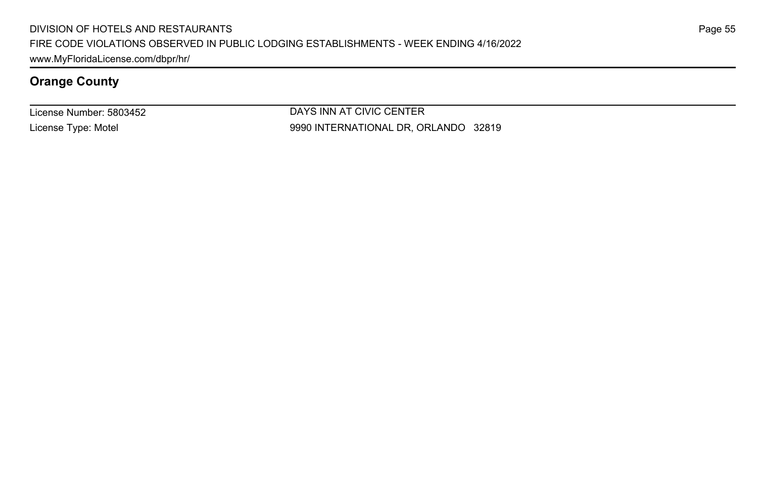License Number: 5803452 License Type: Motel

DAYS INN AT CIVIC CENTER 9990 INTERNATIONAL DR, ORLANDO 32819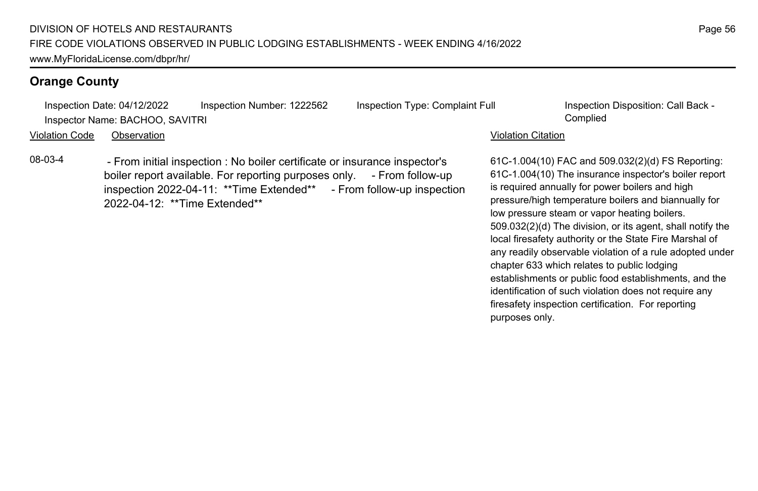Inspection Date: 04/12/2022 Inspection Number: 1222562 Inspection Type: Complaint Full Inspection Disposition: Call Back - Inspector Name: BACHOO, SAVITRI Complied

Violation Code Observation Violation Citation

08-03-4 - From initial inspection : No boiler certificate or insurance inspector's boiler report available. For reporting purposes only. - From follow-up inspection 2022-04-11: \*\*Time Extended\*\* - From follow-up inspection 2022-04-12: \*\*Time Extended\*\*

61C-1.004(10) FAC and 509.032(2)(d) FS Reporting: 61C-1.004(10) The insurance inspector's boiler report is required annually for power boilers and high pressure/high temperature boilers and biannually for low pressure steam or vapor heating boilers. 509.032(2)(d) The division, or its agent, shall notify the local firesafety authority or the State Fire Marshal of any readily observable violation of a rule adopted under chapter 633 which relates to public lodging establishments or public food establishments, and the identification of such violation does not require any firesafety inspection certification. For reporting purposes only.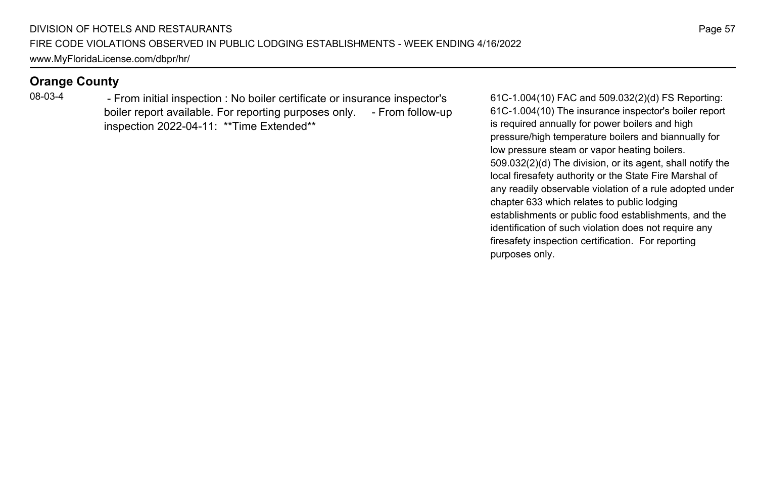08-03-4 - From initial inspection : No boiler certificate or insurance inspector's boiler report available. For reporting purposes only. - From follow-up inspection 2022-04-11: \*\*Time Extended\*\*

61C-1.004(10) FAC and 509.032(2)(d) FS Reporting: 61C-1.004(10) The insurance inspector's boiler report is required annually for power boilers and high pressure/high temperature boilers and biannually for low pressure steam or vapor heating boilers. 509.032(2)(d) The division, or its agent, shall notify the local firesafety authority or the State Fire Marshal of any readily observable violation of a rule adopted under chapter 633 which relates to public lodging establishments or public food establishments, and the identification of such violation does not require any firesafety inspection certification. For reporting purposes only.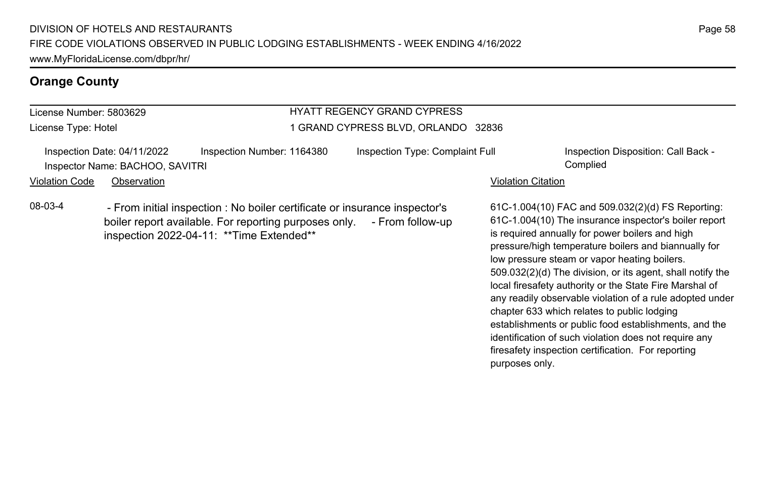# License Number: 5803629

License Type: Hotel

## HYATT REGENCY GRAND CYPRESS 1 GRAND CYPRESS BLVD, ORLANDO 32836

Inspection Date: 04/11/2022 Inspection Number: 1164380 Inspection Type: Complaint Full Inspection Disposition: Call Back -Inspector Name: BACHOO, SAVITRI Complied

Violation Code Observation **Violation Code** Observation **Violation** Violation Citation Citation Citation Citation

08-03-4 - From initial inspection : No boiler certificate or insurance inspector's boiler report available. For reporting purposes only. - From follow-up inspection 2022-04-11: \*\*Time Extended\*\*

61C-1.004(10) FAC and 509.032(2)(d) FS Reporting: 61C-1.004(10) The insurance inspector's boiler report is required annually for power boilers and high pressure/high temperature boilers and biannually for low pressure steam or vapor heating boilers. 509.032(2)(d) The division, or its agent, shall notify the local firesafety authority or the State Fire Marshal of any readily observable violation of a rule adopted under chapter 633 which relates to public lodging establishments or public food establishments, and the identification of such violation does not require any firesafety inspection certification. For reporting purposes only.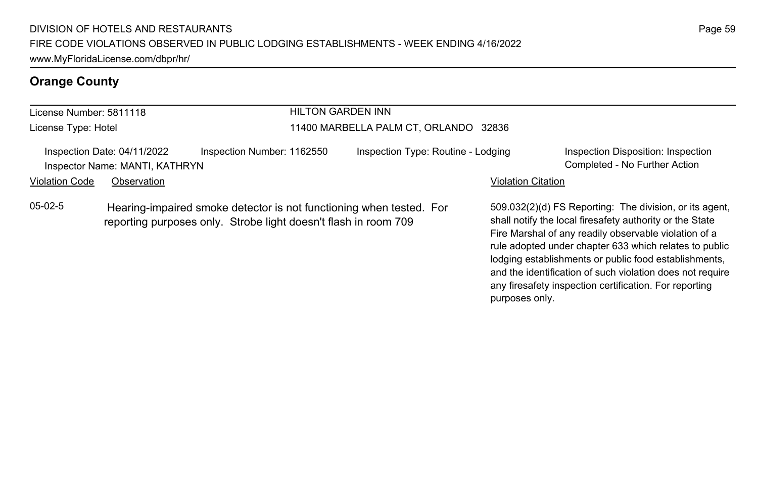#### License Number: 5811118 License Type: Hotel HILTON GARDEN INN 11400 MARBELLA PALM CT, ORLANDO 32836 Inspection Date: 04/11/2022 Inspection Number: 1162550 Inspection Type: Routine - Lodging Inspection Disposition: Inspection Inspector Name: MANTI, KATHRYN Completed - No Further Action Violation Code Observation **Violation Code Observation** Violation Citation Citation Citation Citation Citation Citation Citation Citation Citation Citation Citation Citation Citation Citation Citation Citation Citation Cit 509.032(2)(d) FS Reporting: The division, or its agent, shall notify the local firesafety authority or the State Fire Marshal of any readily observable violation of a rule adopted under chapter 633 which relates to public 05-02-5 Hearing-impaired smoke detector is not functioning when tested. For reporting purposes only. Strobe light doesn't flash in room 709

lodging establishments or public food establishments, and the identification of such violation does not require any firesafety inspection certification. For reporting

purposes only.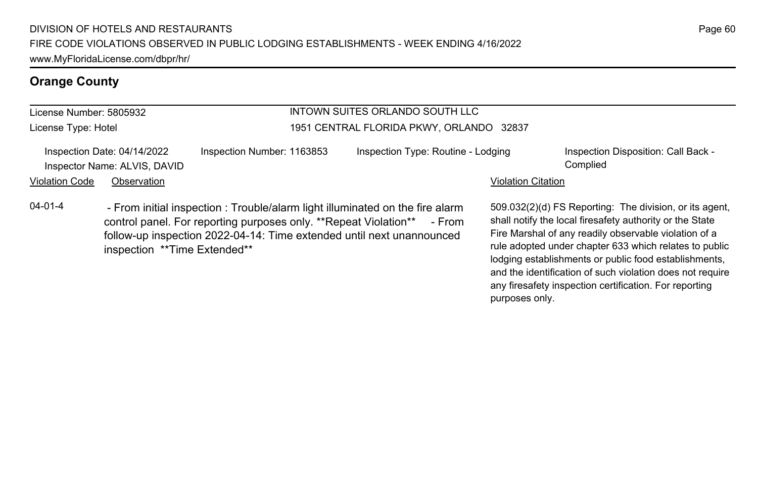#### License Number: 5805932 License Type: Hotel

#### INTOWN SUITES ORLANDO SOUTH LLC 1951 CENTRAL FLORIDA PKWY, ORLANDO 32837

|                | Inspection Date: 04/14/2022  | Inspection Number: 1163853 | Inspection Type: Routine - Lodging | Inspection Disposition: Call Back - |
|----------------|------------------------------|----------------------------|------------------------------------|-------------------------------------|
|                | Inspector Name: ALVIS, DAVID |                            |                                    | Complied                            |
| Violation Code | Observation                  |                            | <b>Violation Citation</b>          |                                     |

04-01-4 - From initial inspection : Trouble/alarm light illuminated on the fire alarm control panel. For reporting purposes only. \*\*Repeat Violation\*\* - From follow-up inspection 2022-04-14: Time extended until next unannounced inspection \*\*Time Extended\*\*

509.032(2)(d) FS Reporting: The division, or its agent, shall notify the local firesafety authority or the State Fire Marshal of any readily observable violation of a rule adopted under chapter 633 which relates to public lodging establishments or public food establishments, and the identification of such violation does not require any firesafety inspection certification. For reporting purposes only.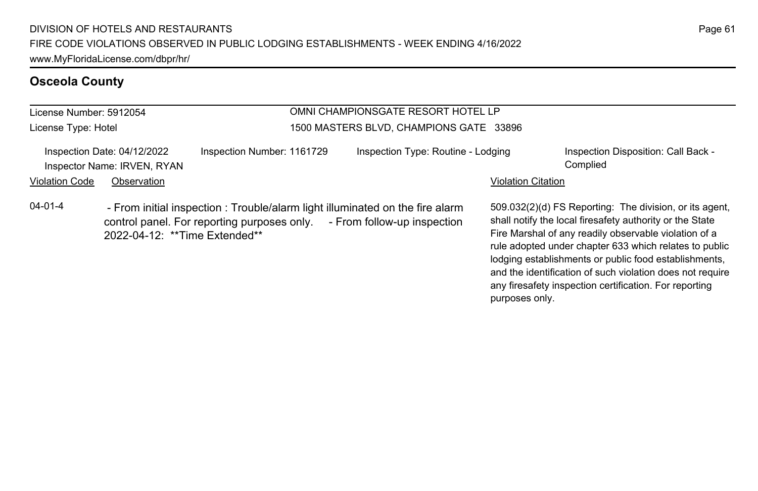#### License Number: 5912054 License Type: Hotel OMNI CHAMPIONSGATE RESORT HOTEL LP 1500 MASTERS BLVD, CHAMPIONS GATE 33896 Inspection Date: 04/12/2022 Inspection Number: 1161729 Inspection Type: Routine - Lodging Inspection Disposition: Call Back -Inspector Name: IRVEN, RYAN Complied Violation Code Observation **Violation Code Observation** Violation Citation Citation Citation Citation Citation Citation Citation Citation Citation Citation Citation Citation Citation Citation Citation Citation Citation Cit 509.032(2)(d) FS Reporting: The division, or its agent, shall notify the local firesafety authority or the State Fire Marshal of any readily observable violation of a rule adopted under chapter 633 which relates to public lodging establishments or public food establishments, and the identification of such violation does not require 04-01-4 - From initial inspection : Trouble/alarm light illuminated on the fire alarm control panel. For reporting purposes only. - From follow-up inspection 2022-04-12: \*\*Time Extended\*\*

Page 61

any firesafety inspection certification. For reporting

purposes only.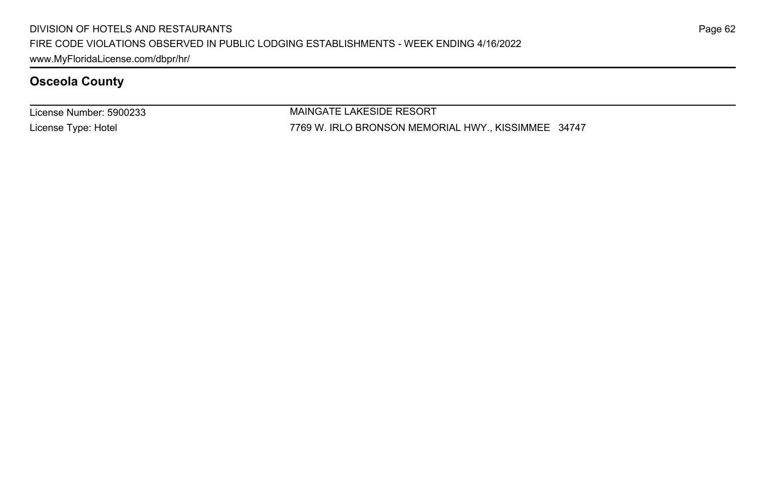License Number: 5900233 License Type: Hotel

MAINGATE LAKESIDE RESORT 7769 W. IRLO BRONSON MEMORIAL HWY., KISSIMMEE 34747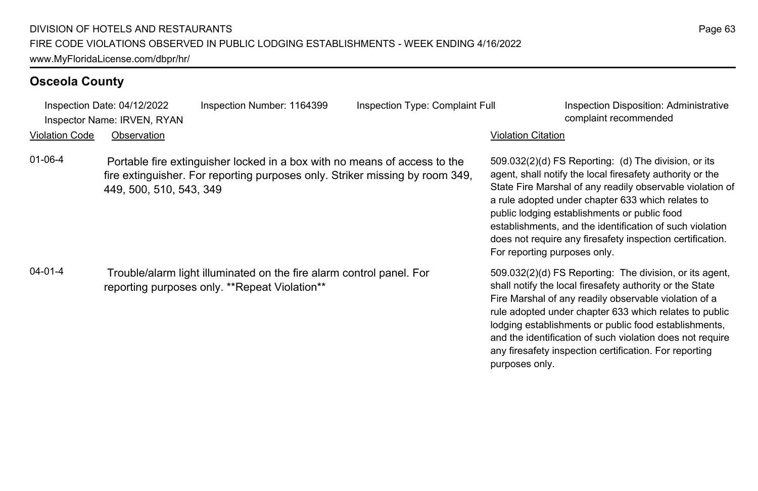| Inspection Date: 04/12/2022<br>Inspector Name: IRVEN, RYAN |                         | Inspection Number: 1164399                                                                                                                                | Inspection Type: Complaint Full | <b>Inspection Disposition: Administrative</b><br>complaint recommended                                                                                                                                                                                                                                                                                                                                                                       |
|------------------------------------------------------------|-------------------------|-----------------------------------------------------------------------------------------------------------------------------------------------------------|---------------------------------|----------------------------------------------------------------------------------------------------------------------------------------------------------------------------------------------------------------------------------------------------------------------------------------------------------------------------------------------------------------------------------------------------------------------------------------------|
| <b>Violation Code</b>                                      | Observation             |                                                                                                                                                           |                                 | Violation Citation                                                                                                                                                                                                                                                                                                                                                                                                                           |
| $01 - 06 - 4$                                              | 449, 500, 510, 543, 349 | Portable fire extinguisher locked in a box with no means of access to the<br>fire extinguisher. For reporting purposes only. Striker missing by room 349, |                                 | 509.032(2)(d) FS Reporting: (d) The division, or its<br>agent, shall notify the local firesafety authority or the<br>State Fire Marshal of any readily observable violation of<br>a rule adopted under chapter 633 which relates to<br>public lodging establishments or public food<br>establishments, and the identification of such violation<br>does not require any firesafety inspection certification.<br>For reporting purposes only. |
| 04-01-4                                                    |                         | Trouble/alarm light illuminated on the fire alarm control panel. For<br>reporting purposes only. **Repeat Violation**                                     |                                 | 509.032(2)(d) FS Reporting: The division, or its agent,<br>shall notify the local firesafety authority or the State<br>Fire Marshal of any readily observable violation of a<br>rule adopted under chapter 633 which relates to public<br>lodging establishments or public food establishments,<br>and the identification of such violation does not require<br>any firesafety inspection certification. For reporting<br>purposes only.     |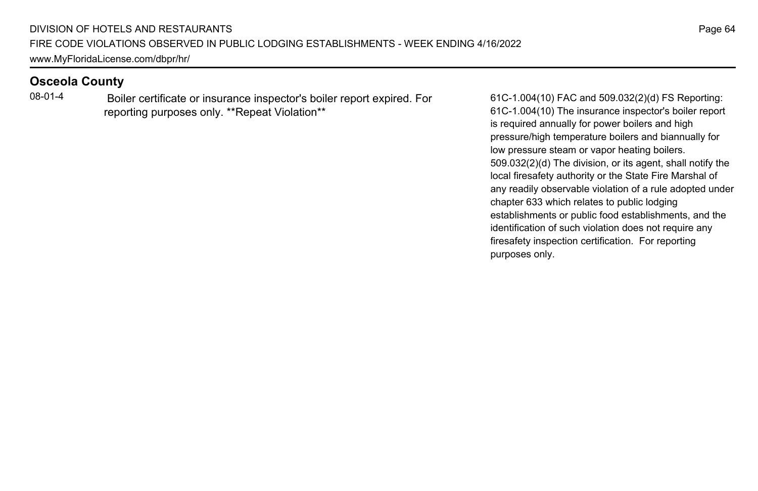08-01-4 Boiler certificate or insurance inspector's boiler report expired. For reporting purposes only. \*\*Repeat Violation\*\*

61C-1.004(10) FAC and 509.032(2)(d) FS Reporting: 61C-1.004(10) The insurance inspector's boiler report is required annually for power boilers and high pressure/high temperature boilers and biannually for low pressure steam or vapor heating boilers. 509.032(2)(d) The division, or its agent, shall notify the local firesafety authority or the State Fire Marshal of any readily observable violation of a rule adopted under chapter 633 which relates to public lodging establishments or public food establishments, and the identification of such violation does not require any firesafety inspection certification. For reporting purposes only.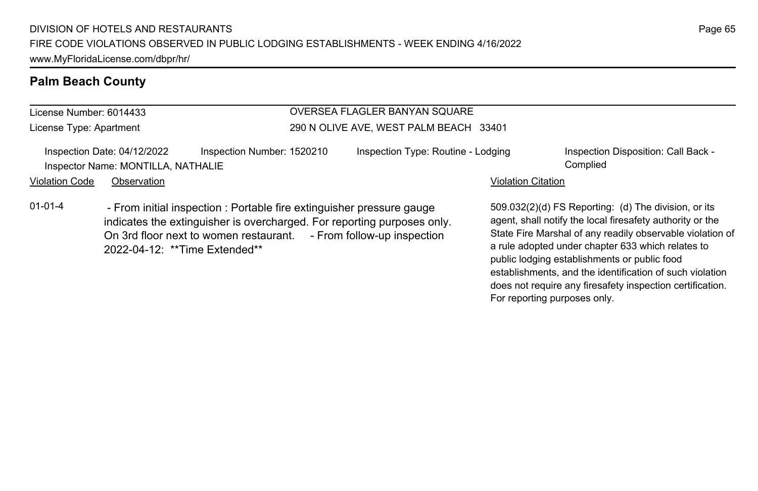## **Palm Beach County**

License Number: 6014433 License Type: Apartment

#### OVERSEA FLAGLER BANYAN SQUARE 290 N OLIVE AVE, WEST PALM BEACH 33401

Inspection Date: 04/12/2022 Inspection Number: 1520210 Inspection Type: Routine - Lodging Inspection Disposition: Call Back -Inspector Name: MONTILLA, NATHALIE Complied

Violation Code Observation **Violation Code Observation** Violation Citation Citation Citation Citation Citation Citation Citation Citation Citation Citation Citation Citation Citation Citation Citation Citation Citation Cit

01-01-4 - From initial inspection : Portable fire extinguisher pressure gauge indicates the extinguisher is overcharged. For reporting purposes only. On 3rd floor next to women restaurant. - From follow-up inspection 2022-04-12: \*\*Time Extended\*\*

509.032(2)(d) FS Reporting: (d) The division, or its agent, shall notify the local firesafety authority or the State Fire Marshal of any readily observable violation of a rule adopted under chapter 633 which relates to public lodging establishments or public food establishments, and the identification of such violation does not require any firesafety inspection certification. For reporting purposes only.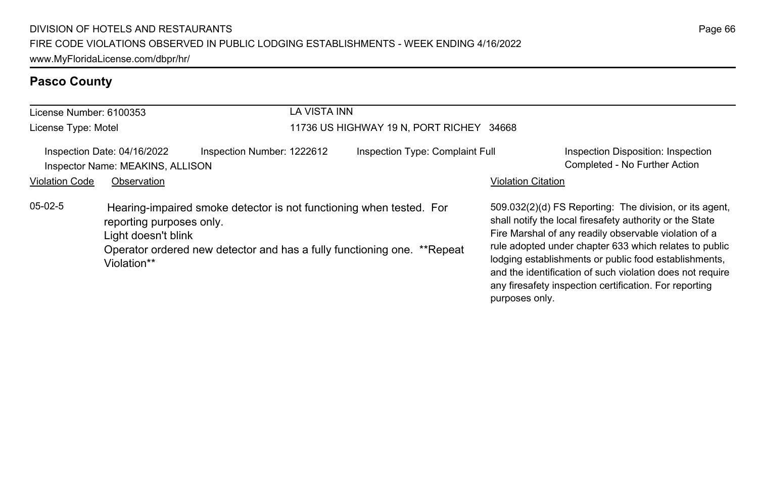# **Pasco County**

|                                                                 |                                                                                                                                                                                                                  | LA VISTA INN               |                                          |                           |                                                                                                                                                                                                                                                                                                                                                                                                                        |
|-----------------------------------------------------------------|------------------------------------------------------------------------------------------------------------------------------------------------------------------------------------------------------------------|----------------------------|------------------------------------------|---------------------------|------------------------------------------------------------------------------------------------------------------------------------------------------------------------------------------------------------------------------------------------------------------------------------------------------------------------------------------------------------------------------------------------------------------------|
| License Number: 6100353                                         |                                                                                                                                                                                                                  |                            |                                          |                           |                                                                                                                                                                                                                                                                                                                                                                                                                        |
| License Type: Motel                                             |                                                                                                                                                                                                                  |                            | 11736 US HIGHWAY 19 N, PORT RICHEY 34668 |                           |                                                                                                                                                                                                                                                                                                                                                                                                                        |
| Inspection Date: 04/16/2022<br>Inspector Name: MEAKINS, ALLISON |                                                                                                                                                                                                                  | Inspection Number: 1222612 | Inspection Type: Complaint Full          |                           | Inspection Disposition: Inspection<br>Completed - No Further Action                                                                                                                                                                                                                                                                                                                                                    |
| <b>Violation Code</b>                                           | Observation                                                                                                                                                                                                      |                            |                                          | <b>Violation Citation</b> |                                                                                                                                                                                                                                                                                                                                                                                                                        |
| $05-02-5$                                                       | Hearing-impaired smoke detector is not functioning when tested. For<br>reporting purposes only.<br>Light doesn't blink<br>Operator ordered new detector and has a fully functioning one. **Repeat<br>Violation** |                            |                                          | purposes only.            | 509.032(2)(d) FS Reporting: The division, or its agent,<br>shall notify the local firesafety authority or the State<br>Fire Marshal of any readily observable violation of a<br>rule adopted under chapter 633 which relates to public<br>lodging establishments or public food establishments,<br>and the identification of such violation does not require<br>any firesafety inspection certification. For reporting |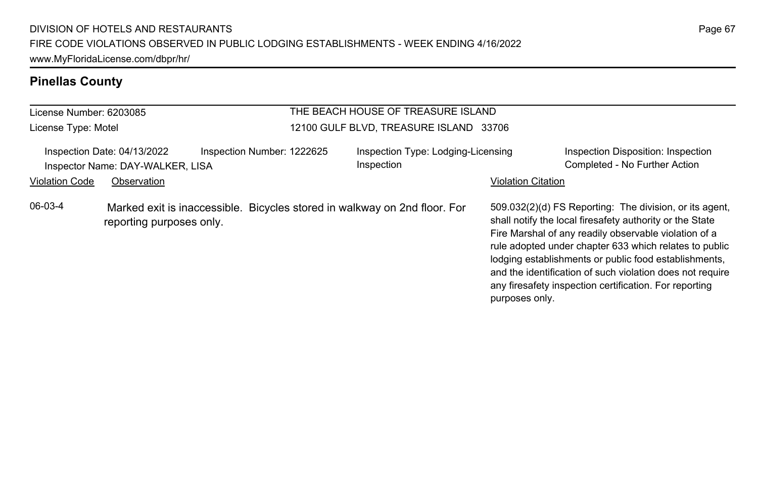#### **Pinellas County**

#### License Number: 6203085 License Type: Motel THE BEACH HOUSE OF TREASURE ISLAND 12100 GULF BLVD, TREASURE ISLAND 33706 Inspection Date: 04/13/2022 Inspection Number: 1222625 Inspection Type: Lodging-Licensing Inspection Inspection Disposition: Inspection Inspector Name: DAY-WALKER, LISA Completed - No Further Action Completed - No Further Action Violation Code Observation **Violation Code Observation** Violation Citation Citation Citation Citation Citation Citation Citation Citation Citation Citation Citation Citation Citation Citation Citation Citation Citation Cit 509.032(2)(d) FS Reporting: The division, or its agent, shall notify the local firesafety authority or the State Fire Marshal of any readily observable violation of a rule adopted under chapter 633 which relates to public lodging establishments or public food establishments, and the identification of such violation does not require any firesafety inspection certification. For reporting purposes only. 06-03-4 Marked exit is inaccessible. Bicycles stored in walkway on 2nd floor. For reporting purposes only.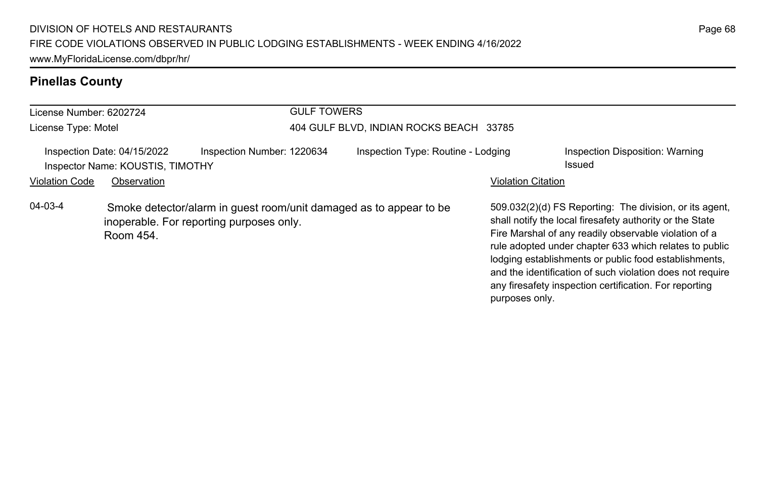# **Pinellas County**

| License Number: 6202724                                         |                                                                                                                             |                            | <b>GULF TOWERS</b>                                                                                                                                                                                                                                                                                                                                                                                                                       |                                    |                           |                                           |
|-----------------------------------------------------------------|-----------------------------------------------------------------------------------------------------------------------------|----------------------------|------------------------------------------------------------------------------------------------------------------------------------------------------------------------------------------------------------------------------------------------------------------------------------------------------------------------------------------------------------------------------------------------------------------------------------------|------------------------------------|---------------------------|-------------------------------------------|
| License Type: Motel                                             |                                                                                                                             |                            | 404 GULF BLVD, INDIAN ROCKS BEACH 33785                                                                                                                                                                                                                                                                                                                                                                                                  |                                    |                           |                                           |
| Inspection Date: 04/15/2022<br>Inspector Name: KOUSTIS, TIMOTHY |                                                                                                                             | Inspection Number: 1220634 |                                                                                                                                                                                                                                                                                                                                                                                                                                          | Inspection Type: Routine - Lodging |                           | Inspection Disposition: Warning<br>Issued |
| <b>Violation Code</b>                                           | Observation                                                                                                                 |                            |                                                                                                                                                                                                                                                                                                                                                                                                                                          |                                    | <b>Violation Citation</b> |                                           |
| $04 - 03 - 4$                                                   | Smoke detector/alarm in guest room/unit damaged as to appear to be<br>inoperable. For reporting purposes only.<br>Room 454. |                            | 509.032(2)(d) FS Reporting: The division, or its agent,<br>shall notify the local firesafety authority or the State<br>Fire Marshal of any readily observable violation of a<br>rule adopted under chapter 633 which relates to public<br>lodging establishments or public food establishments,<br>and the identification of such violation does not require<br>any firesafety inspection certification. For reporting<br>purposes only. |                                    |                           |                                           |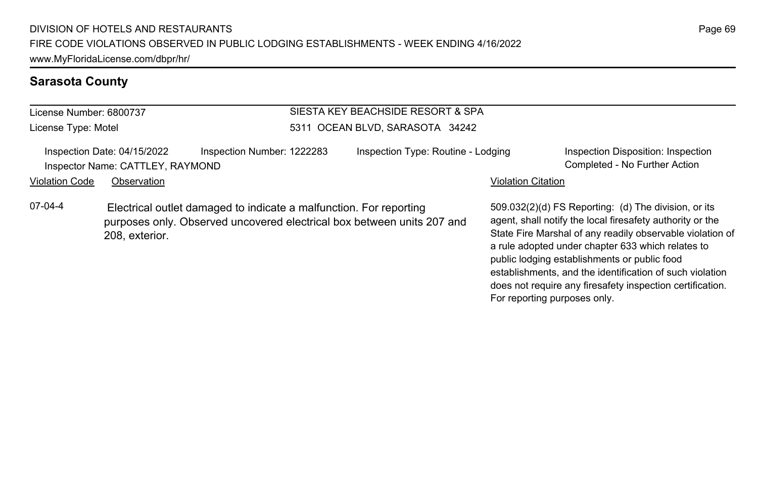### **Sarasota County**

| License Number: 6800737 |  |
|-------------------------|--|
| License Type: Motel     |  |

### SIESTA KEY BEACHSIDE RESORT & SPA 5311 OCEAN BLVD, SARASOTA 34242

Inspection Date: 04/15/2022 Inspection Number: 1222283 Inspection Type: Routine - Lodging Inspection Disposition: Inspection Inspector Name: CATTLEY, RAYMOND Completed - No Further Action

Violation Code Observation **Violation Code** Observation **Violation** Violation Citation Citation Citation Citation

07-04-4 Electrical outlet damaged to indicate a malfunction. For reporting purposes only. Observed uncovered electrical box between units 207 and 208, exterior.

509.032(2)(d) FS Reporting: (d) The division, or its agent, shall notify the local firesafety authority or the State Fire Marshal of any readily observable violation of a rule adopted under chapter 633 which relates to public lodging establishments or public food establishments, and the identification of such violation does not require any firesafety inspection certification. For reporting purposes only.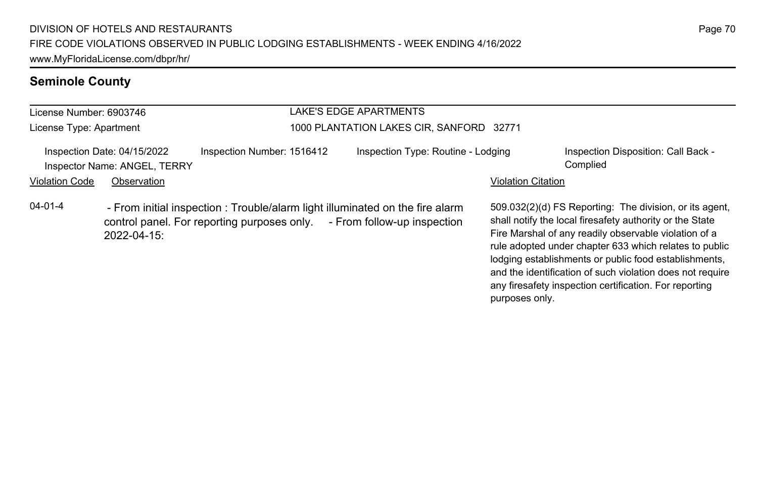# **Seminole County**

| License Number: 6903746<br>License Type: Apartment<br>Inspection Date: 04/15/2022<br>Inspector Name: ANGEL, TERRY |             |                                                                                                                                                          | LAKE'S EDGE APARTMENTS                   |                           |                                                                                                                                                                                                                                                                                                                                                              |
|-------------------------------------------------------------------------------------------------------------------|-------------|----------------------------------------------------------------------------------------------------------------------------------------------------------|------------------------------------------|---------------------------|--------------------------------------------------------------------------------------------------------------------------------------------------------------------------------------------------------------------------------------------------------------------------------------------------------------------------------------------------------------|
|                                                                                                                   |             |                                                                                                                                                          | 1000 PLANTATION LAKES CIR, SANFORD 32771 |                           |                                                                                                                                                                                                                                                                                                                                                              |
|                                                                                                                   |             | Inspection Number: 1516412                                                                                                                               | Inspection Type: Routine - Lodging       |                           | Inspection Disposition: Call Back -<br>Complied                                                                                                                                                                                                                                                                                                              |
| <b>Violation Code</b>                                                                                             | Observation |                                                                                                                                                          |                                          | <b>Violation Citation</b> |                                                                                                                                                                                                                                                                                                                                                              |
| $04 - 01 - 4$                                                                                                     | 2022-04-15: | - From initial inspection : Trouble/alarm light illuminated on the fire alarm<br>control panel. For reporting purposes only. - From follow-up inspection |                                          |                           | 509.032(2)(d) FS Reporting: The division, or its agent,<br>shall notify the local firesafety authority or the State<br>Fire Marshal of any readily observable violation of a<br>rule adopted under chapter 633 which relates to public<br>lodging establishments or public food establishments,<br>and the identification of such violation does not require |

any firesafety inspection certification. For reporting

purposes only.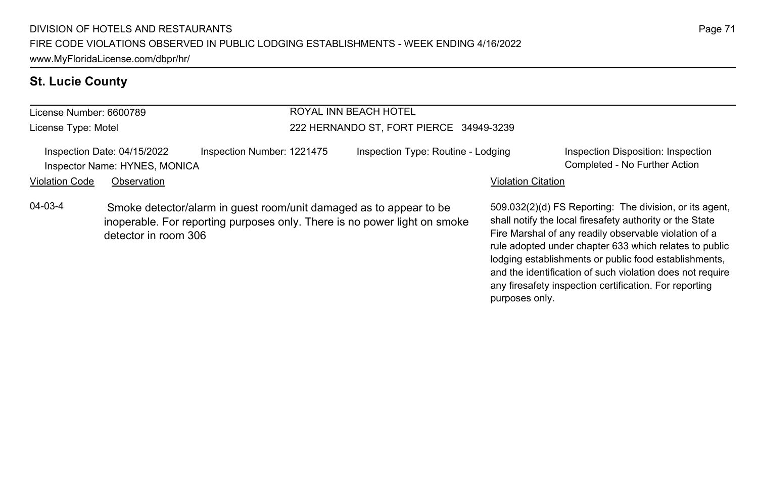## **St. Lucie County**

#### License Number: 6600789 License Type: Motel ROYAL INN BEACH HOTEL 222 HERNANDO ST, FORT PIERCE 34949-3239 Inspection Date: 04/15/2022 Inspection Number: 1221475 Inspection Type: Routine - Lodging Inspection Disposition: Inspection Inspector Name: HYNES, MONICA Completed - No Further Action Violation Code Observation **Violation Code** Observation **Violation** Violation Citation Citation Citation Citation 509.032(2)(d) FS Reporting: The division, or its agent, shall notify the local firesafety authority or the State Fire Marshal of any readily observable violation of a rule adopted under chapter 633 which relates to public 04-03-4 Smoke detector/alarm in guest room/unit damaged as to appear to be inoperable. For reporting purposes only. There is no power light on smoke detector in room 306

lodging establishments or public food establishments, and the identification of such violation does not require any firesafety inspection certification. For reporting

purposes only.